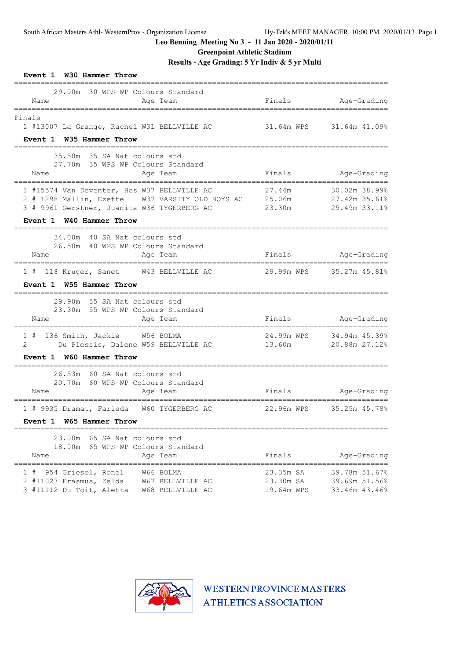### **Greenpoint Athletic Stadium**

**Results - Age Grading: 5 Yr Indiv & 5 yr Multi**

| Event 1 W30 Hammer Throw                                                                                                                                                  |            |                                            |
|---------------------------------------------------------------------------------------------------------------------------------------------------------------------------|------------|--------------------------------------------|
| 29.00m 30 WPS WP Colours Standard<br>Name<br>Age Team<br>======================                                                                                           |            | Finals Age-Grading                         |
| Finals<br>1 #13007 La Grange, Rachel W31 BELLVILLE AC                                                                                                                     |            | 31.64m WPS 31.64m 41.09%                   |
| Event 1 W35 Hammer Throw                                                                                                                                                  |            |                                            |
| 35.50m 35 SA Nat colours std<br>27.70m 35 WPS WP Colours Standard                                                                                                         |            |                                            |
| Name<br>Age Team                                                                                                                                                          | Finals     | Age-Grading                                |
| 1 #15574 Van Deventer, Hes W37 BELLVILLE AC<br>2 # 1298 Mallin, Ezette W37 VARSITY OLD BOYS AC<br>3 # 9961 Gerstner, Juanita W36 TYGERBERG AC<br>Event 1 W40 Hammer Throw | 27.44m     | 30.02m 38.99%<br>23.30m 25.49m 33.11%      |
|                                                                                                                                                                           |            |                                            |
| 34.00m 40 SA Nat colours std<br>26.50m 40 WPS WP Colours Standard                                                                                                         |            |                                            |
| Name<br>Age Team<br>____________________________________                                                                                                                  |            | Finals Age-Grading                         |
| 1 # 118 Kruger, Sanet W43 BELLVILLE AC<br>Event 1 W55 Hammer Throw                                                                                                        |            | 29.99m WPS 35.27m 45.81%                   |
|                                                                                                                                                                           |            |                                            |
| 29.90m 55 SA Nat colours std                                                                                                                                              |            |                                            |
| 23.30m 55 WPS WP Colours Standard<br>Name<br>Age Team<br>------------------------------------                                                                             |            | Finals Age-Grading<br>==================== |
| 1 # 136 Smith, Jackie W56 BOLMA                                                                                                                                           |            | 24.99m WPS 34.94m 45.39%                   |
| Du Plessis, Dalene W59 BELLVILLE AC<br>2                                                                                                                                  | 13.60m     | 20.88m 27.12%                              |
| Event 1 W60 Hammer Throw                                                                                                                                                  |            |                                            |
| 26.53m 60 SA Nat colours std                                                                                                                                              |            |                                            |
| 20.70m 60 WPS WP Colours Standard<br>Name<br>Age Team                                                                                                                     |            | Finals Age-Grading                         |
|                                                                                                                                                                           |            | --------------------------------------     |
| 1 # 9935 Dramat, Farieda W60 TYGERBERG AC<br>Event 1 W65 Hammer Throw                                                                                                     |            | 22.96m WPS 35.25m 45.78%                   |
| ===========================<br>23.00m 65 SA Nat colours std                                                                                                               |            |                                            |
| 18.00m 65 WPS WP Colours Standard                                                                                                                                         |            |                                            |
| Name<br>Age Team                                                                                                                                                          | Finals     | Age-Grading                                |
| 1 # 954 Griesel, Ronel<br>W66 BOLMA                                                                                                                                       | 23.35m SA  | 39.78m 51.67%                              |
| 2 #11027 Erasmus, Zelda<br>W67 BELLVILLE AC                                                                                                                               | 23.30m SA  | 39.69m 51.56%                              |
| 3 #11112 Du Toit, Aletta<br>W68 BELLVILLE AC                                                                                                                              | 19.64m WPS | 33.46m 43.46%                              |

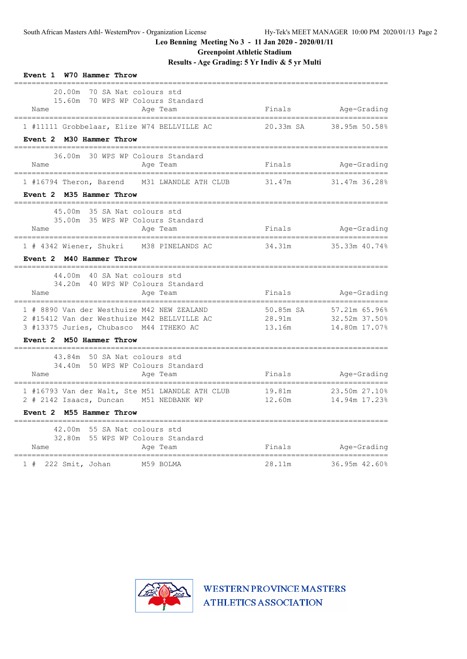**Greenpoint Athletic Stadium**

**Results - Age Grading: 5 Yr Indiv & 5 yr Multi**

| Event 1 W70 Hammer Throw                                                                                                                                |                                |                                                   |
|---------------------------------------------------------------------------------------------------------------------------------------------------------|--------------------------------|---------------------------------------------------|
| 20.00m<br>70 SA Nat colours std<br>15.60m 70 WPS WP Colours Standard<br>Name<br>Age Team<br>=================================<br>---------------------- | Finals                         | Age-Grading                                       |
| 1 #11111 Grobbelaar, Elize W74 BELLVILLE AC<br>Event 2 M30 Hammer Throw                                                                                 |                                | 20.33m SA 38.95m 50.58%                           |
| 36.00m 30 WPS WP Colours Standard<br>Name<br>Age Team                                                                                                   | Finals                         | Age-Grading                                       |
| 1 #16794 Theron, Barend M31 LWANDLE ATH CLUB<br>Event 2 M35 Hammer Throw<br>_____________<br>-------------------------                                  | 31.47m<br>-------------------- | 31.47m 36.28%                                     |
| 45.00m 35 SA Nat colours std<br>35.00m 35 WPS WP Colours Standard<br>Name<br>Aqe Team                                                                   | Finals                         | Age-Grading                                       |
| 1 # 4342 Wiener, Shukri M38 PINELANDS AC<br>Event 2 M40 Hammer Throw<br>---------------<br>------------------------                                     | 34.31m                         | 35.33m 40.74%                                     |
| 44.00m 40 SA Nat colours std<br>34.20m 40 WPS WP Colours Standard<br>Age Team<br>Name                                                                   | Finals                         | Age-Grading                                       |
| 1 # 8890 Van der Westhuize M42 NEW ZEALAND<br>2 #15412 Van der Westhuize M42 BELLVILLE AC<br>3 #13375 Juries, Chubasco M44 ITHEKO AC                    | 50.85m SA<br>28.91m<br>13.16m  | 1 57.21m 65.96%<br>32.52m 37.50%<br>14.80m 17.07% |
| Event 2 M50 Hammer Throw<br>-------------------------------                                                                                             |                                |                                                   |
| 43.84m 50 SA Nat colours std<br>34.40m 50 WPS WP Colours Standard<br>Age Team<br>Name                                                                   |                                | Finals Age-Grading                                |
| 1 #16793 Van der Walt, Ste M51 LWANDLE ATH CLUB<br>2 # 2142 Isaacs, Duncan M51 NEDBANK WP                                                               | 12.60m                         | 19.81m 23.50m 27.10%<br>14.94m 17.23%             |
| Event 2 M55 Hammer Throw                                                                                                                                |                                |                                                   |
| 42.00m 55 SA Nat colours std<br>32.80m 55 WPS WP Colours Standard<br>Name<br>Age Team                                                                   | Finals                         | Age-Grading                                       |
| ----------------------------------<br>$1$ # 222 Smit, Johan<br>M59 BOLMA                                                                                | 28.11m                         | 36.95m 42.60%                                     |

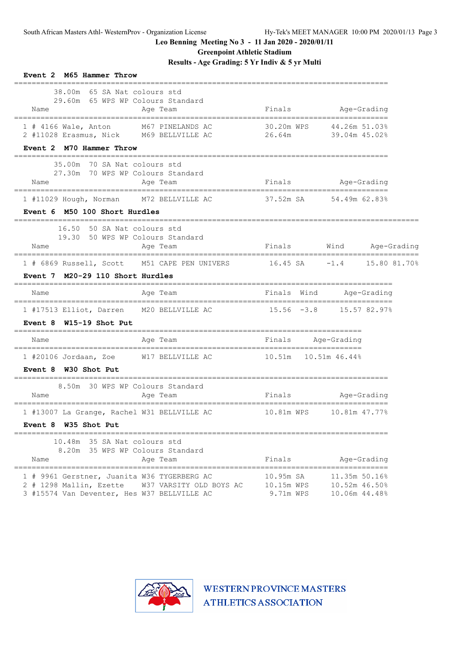**Greenpoint Athletic Stadium**

**Results - Age Grading: 5 Yr Indiv & 5 yr Multi**

| Event 2 M65 Hammer Throw                                                                                                                         |                                      |                                                 |                     |
|--------------------------------------------------------------------------------------------------------------------------------------------------|--------------------------------------|-------------------------------------------------|---------------------|
| 38.00m 65 SA Nat colours std<br>29.60m 65 WPS WP Colours Standard<br>Age Team<br>Name                                                            | Finals                               | Age-Grading                                     |                     |
| 1 # 4166 Wale, Anton M67 PINELANDS AC<br>2 #11028 Erasmus, Nick M69 BELLVILLE AC<br>Event 2 M70 Hammer Throw                                     | 30.20m WPS<br>26.64m                 | 44.26m 51.03%<br>39.04m 45.02%                  |                     |
| 35.00m 70 SA Nat colours std<br>27.30m 70 WPS WP Colours Standard<br>Age Team<br>Name                                                            | Finals Age-Grading                   |                                                 |                     |
| 1 #11029 Hough, Norman<br>M72 BELLVILLE AC                                                                                                       | 37.52m SA 54.49m 62.83%              |                                                 |                     |
| Event 6 M50 100 Short Hurdles                                                                                                                    |                                      |                                                 |                     |
| 16.50 50 SA Nat colours std<br>19.30 50 WPS WP Colours Standard<br>Name<br>Age Team                                                              | Finals                               |                                                 | Wind Age-Grading    |
| 1 # 6869 Russell, Scott M51 CAPE PEN UNIVERS 16.45 SA                                                                                            |                                      |                                                 | $-1.4$ 15.80 81.70% |
| Event 7 M20-29 110 Short Hurdles                                                                                                                 |                                      |                                                 |                     |
| Age Team<br>Name                                                                                                                                 | Finals Wind                          | Aqe-Grading                                     |                     |
| 1 #17513 Elliot, Darren M20 BELLVILLE AC                                                                                                         | $15.56 -3.8$ $15.57 82.978$          |                                                 |                     |
| Event $8$ W15-19 Shot Put                                                                                                                        |                                      |                                                 |                     |
| Age Team<br>Name                                                                                                                                 | Finals Age-Grading                   |                                                 |                     |
| 1 #20106 Jordaan, Zoe W17 BELLVILLE AC                                                                                                           | 10.51m    10.51m    46.44%           |                                                 |                     |
| Event 8 W30 Shot Put                                                                                                                             |                                      |                                                 |                     |
| 8.50m 30 WPS WP Colours Standard<br>Name<br>Age Team                                                                                             | Finals                               | Aqe-Grading                                     |                     |
| 1 #13007 La Grange, Rachel W31 BELLVILLE AC<br>Event 8 W35 Shot Put                                                                              | 10.81m WPS                           | 10.81m 47.77%                                   |                     |
| 10.48m 35 SA Nat colours std<br>8.20m 35 WPS WP Colours Standard<br>Age Team<br>Name                                                             | Finals                               | Age-Grading                                     |                     |
| 1 # 9961 Gerstner, Juanita W36 TYGERBERG AC<br>2 # 1298 Mallin, Ezette<br>W37 VARSITY OLD BOYS AC<br>3 #15574 Van Deventer, Hes W37 BELLVILLE AC | 10.95m SA<br>10.15m WPS<br>9.71m WPS | 11.35m 50.16%<br>10.52m 46.50%<br>10.06m 44.48% |                     |

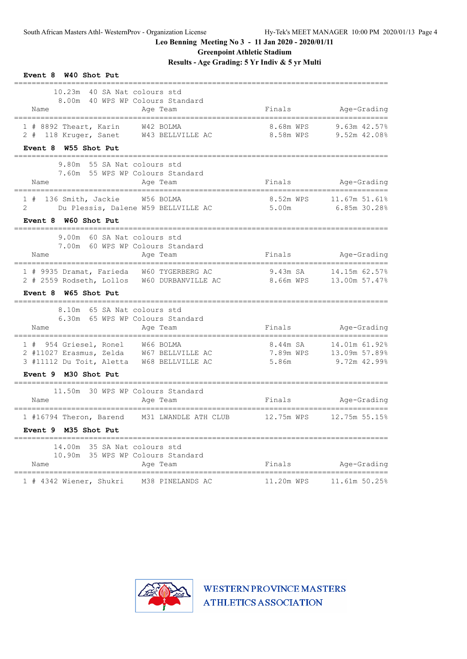**Greenpoint Athletic Stadium**

**Results - Age Grading: 5 Yr Indiv & 5 yr Multi**

| Event 8 W40 Shot Put                                                                                          |                        |                                               |
|---------------------------------------------------------------------------------------------------------------|------------------------|-----------------------------------------------|
| 10.23m 40 SA Nat colours std<br>8.00m 40 WPS WP Colours Standard<br>Name<br>Age Team                          |                        | Finals Age-Grading                            |
| 1 # 8892 Theart, Karin W42 BOLMA<br>2 # 118 Kruger, Sanet W43 BELLVILLE AC<br>Event 8 W55 Shot Put            | 8.68m WPS<br>8.58m WPS | 9.63m 42.57%<br>9.52m 42.08%                  |
| 9.80m 55 SA Nat colours std<br>7.60m 55 WPS WP Colours Standard                                               |                        |                                               |
| Name<br>Age Team                                                                                              |                        | Finals Age-Grading                            |
| 136 Smith, Jackie W56 BOLMA<br>1#<br>2<br>Du Plessis, Dalene W59 BELLVILLE AC                                 | 5.00m                  | 8.52m WPS    11.67m    51.61%<br>6.85m 30.288 |
| Event 8 W60 Shot Put<br>----------------                                                                      |                        |                                               |
| 9.00m 60 SA Nat colours std<br>7.00m 60 WPS WP Colours Standard<br>Age Team<br>Name                           | Finals                 | Age-Grading                                   |
| 1 # 9935 Dramat, Farieda W60 TYGERBERG AC<br>2 # 2559 Rodseth, Lollos W60 DURBANVILLE AC                      |                        | 9.43m SA 14.15m 62.57%                        |
| Event 8 W65 Shot Put<br>--------------------------------                                                      |                        |                                               |
| 8.10m 65 SA Nat colours std<br>6.30m 65 WPS WP Colours Standard<br>Name<br>Age Team                           | Finals                 | Age-Grading                                   |
| 1 # 954 Griesel, Ronel W66 BOLMA                                                                              | 8.44m SA 14.01m 61.92% | ====================                          |
| 2 #11027 Erasmus, Zelda W67 BELLVILLE AC 7.89m WPS 13.09m 57.89%<br>3 #11112 Du Toit, Aletta W68 BELLVILLE AC | 5.86m                  | 9.72m 42.99%                                  |
| Event 9 M30 Shot Put                                                                                          |                        |                                               |
| 11.50m 30 WPS WP Colours Standard<br>Name<br>Age Team                                                         | Finals                 | Age-Grading                                   |
| 1 #16794 Theron, Barend<br>M31 LWANDLE ATH CLUB                                                               | 12.75m WPS             | 12.75m 55.15%                                 |
| Event 9 M35 Shot Put                                                                                          |                        |                                               |
| 14.00m 35 SA Nat colours std<br>10.90m 35 WPS WP Colours Standard<br>Name<br>Age Team                         | Finals                 | Age-Grading                                   |
| 1 # 4342 Wiener, Shukri<br>M38 PINELANDS AC                                                                   | 11.20m WPS             | 11.61m 50.25%                                 |

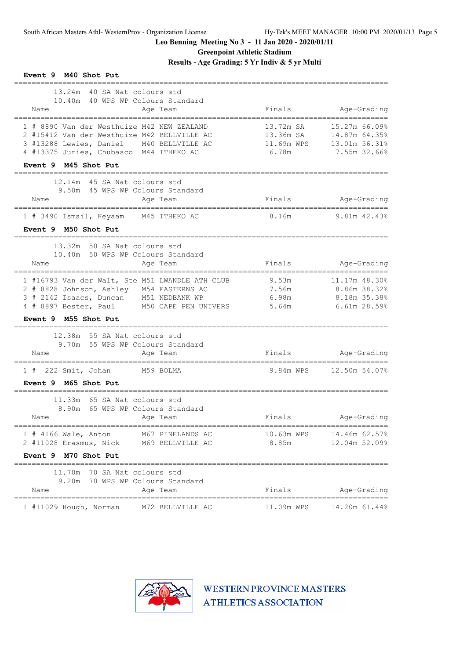**Greenpoint Athletic Stadium**

**Results - Age Grading: 5 Yr Indiv & 5 yr Multi**

| Event 9 M40 Shot Put                                                                                                                                                                                              |                                               |                                                                 |
|-------------------------------------------------------------------------------------------------------------------------------------------------------------------------------------------------------------------|-----------------------------------------------|-----------------------------------------------------------------|
| 13.24m 40 SA Nat colours std<br>10.40m 40 WPS WP Colours Standard<br>Name<br>Age Team                                                                                                                             | Finals                                        | Age-Grading                                                     |
| 1 # 8890 Van der Westhuize M42 NEW ZEALAND<br>2 #15412 Van der Westhuize M42 BELLVILLE AC<br>3 #13288 Lewies, Daniel M40 BELLVILLE AC<br>4 #13375 Juries, Chubasco M44 ITHEKO AC                                  | 13.72m SA<br>13.36m SA<br>11.69m WPS<br>6.78m | 15.27m 66.09%<br>14.87m 64.35%<br>13.01m 56.31%<br>7.55m 32.66% |
| Event 9 M45 Shot Put                                                                                                                                                                                              |                                               |                                                                 |
| 12.14m 45 SA Nat colours std<br>9.50m 45 WPS WP Colours Standard<br>Age Team<br>Name                                                                                                                              | Finals                                        | Age-Grading                                                     |
| 1 # 3490 Ismail, Keyaam M45 ITHEKO AC                                                                                                                                                                             | 8.16m                                         | 9.81m 42.43%                                                    |
| Event 9 M50 Shot Put                                                                                                                                                                                              |                                               |                                                                 |
| ================================<br>13.32m 50 SA Nat colours std<br>10.40m 50 WPS WP Colours Standard<br>Name<br>Age Team                                                                                         | Finals                                        | Age-Grading                                                     |
| 1 #16793 Van der Walt, Ste M51 LWANDLE ATH CLUB<br>2 # 8828 Johnson, Ashley M54 EASTERNS AC<br>3 # 2142 Isaacs, Duncan M51 NEDBANK WP<br>4 # 8897 Bester, Paul M50 CAPE PEN UNIVERS 5.64m<br>Event 9 M55 Shot Put | 9.53m<br>7.56m<br>6.98m                       | 11.17m 48.30%<br>8.86m 38.32%<br>8.18m 35.38%<br>$6.61m$ 28.59% |
| -----------------<br>12.38m 55 SA Nat colours std<br>55 WPS WP Colours Standard<br>9.70m<br>Name<br>Age Team                                                                                                      |                                               | Finals Age-Grading                                              |
| 1 # 222 Smit, Johan M59 BOLMA                                                                                                                                                                                     |                                               | 9.84m WPS 12.50m 54.07%                                         |
| Event 9 M65 Shot Put                                                                                                                                                                                              |                                               |                                                                 |
| 11.33m 65 SA Nat colours std<br>65 WPS WP Colours Standard<br>8.90m<br>Name<br>Age Team                                                                                                                           | Finals                                        | Age-Grading                                                     |
| $1$ # 4166 Wale, Anton<br>M67 PINELANDS AC<br>2 #11028 Erasmus, Nick<br>M69 BELLVILLE AC                                                                                                                          | 10.63m WPS<br>8.85m                           | 14.46m 62.57%<br>12.04m 52.09%                                  |
| Event 9 M70 Shot Put                                                                                                                                                                                              |                                               |                                                                 |
| 11.70m 70 SA Nat colours std<br>9.20m 70 WPS WP Colours Standard<br>Name<br>Age Team                                                                                                                              | Finals                                        | Age-Grading                                                     |
| 1 #11029 Hough, Norman<br>M72 BELLVILLE AC                                                                                                                                                                        | 11.09m WPS                                    | 14.20m 61.44%                                                   |

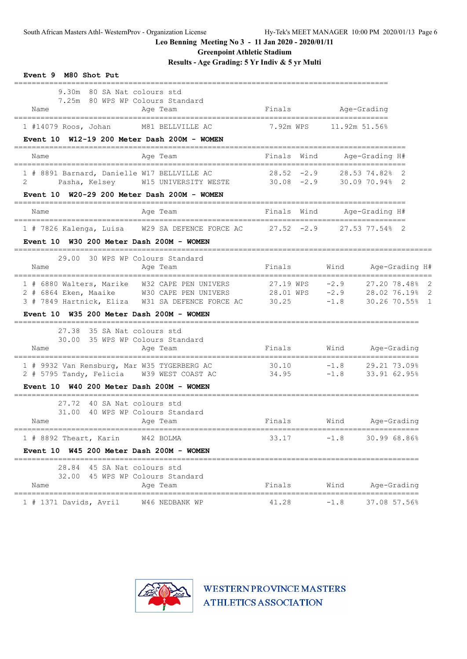**Greenpoint Athletic Stadium**

**Results - Age Grading: 5 Yr Indiv & 5 yr Multi**

| Event 9 M80 Shot Put                                                                                                                                  |                                  |                                                                   |
|-------------------------------------------------------------------------------------------------------------------------------------------------------|----------------------------------|-------------------------------------------------------------------|
| 9.30m 80 SA Nat colours std<br>7.25m 80 WPS WP Colours Standard<br>Name<br>Age Team                                                                   |                                  | Finals Age-Grading                                                |
| M81 BELLVILLE AC<br>1 #14079 Roos, Johan<br>Event $10$ W12-19 200 Meter Dash 200M - WOMEN                                                             | 7.92m WPS                        | 11.92m 51.56%                                                     |
| Name<br>Age Team                                                                                                                                      |                                  | Finals Wind      Age-Grading H#                                   |
| 1 # 8891 Barnard, Danielle W17 BELLVILLE AC<br>Pasha, Kelsey M15 UNIVERSITY WESTE 30.08 -2.9<br>2                                                     | $28.52 -2.9$                     | -----------------------------<br>28.53 74.82% 2<br>30.09 70.94% 2 |
| Event $10$ W20-29 200 Meter Dash 200M - WOMEN                                                                                                         |                                  |                                                                   |
| Name<br>Age Team                                                                                                                                      |                                  | Finals Wind - Age-Grading H#                                      |
| 1 # 7826 Kalenga, Luisa W29 SA DEFENCE FORCE AC 27.52 -2.9 27.53 77.54% 2                                                                             |                                  |                                                                   |
| Event 10 W30 200 Meter Dash 200M - WOMEN<br>================                                                                                          |                                  |                                                                   |
| 30 WPS WP Colours Standard<br>29.00<br>Name<br>Age Team                                                                                               | Finals                           | Wind<br>Age-Grading H#                                            |
| 1 # 6880 Walters, Marike W32 CAPE PEN UNIVERS<br>2 # 6864 Eken, Maaike W30 CAPE PEN UNIVERS<br>3 # 7849 Hartnick, Eliza W31 SA DEFENCE FORCE AC 30.25 | 27.19 WPS -2.9<br>28.01 WPS -2.9 | 27.20 78.48% 2<br>28.02 76.19% 2<br>$-1.8$<br>30.26 70.55% 1      |
| Event 10 W35 200 Meter Dash 200M - WOMEN                                                                                                              |                                  |                                                                   |
| 27.38 35 SA Nat colours std<br>30.00 35 WPS WP Colours Standard<br>Age Team<br>Name                                                                   | Finals                           | Wind Age-Grading                                                  |
| 1 # 9932 Van Rensburg, Mar W35 TYGERBERG AC<br>2 # 5795 Tandy, Felicia W39 WEST COAST AC                                                              | 30.10<br>34.95                   | $-1.8$ 29.21 73.09%<br>$-1.8$ 33.91 62.95%                        |
| Event 10 W40 200 Meter Dash 200M - WOMEN<br>________________________<br>===========<br>==========                                                     |                                  |                                                                   |
| 40 SA Nat colours std<br>27.72<br>31.00 40 WPS WP Colours Standard<br>Age Team<br>Name                                                                | Finals                           | Wind Age-Grading                                                  |
| W42 BOLMA<br>$1$ # 8892 Theart, Karin                                                                                                                 | 33.17                            | $-1.8$<br>30.99 68.86%                                            |
| Event 10 W45 200 Meter Dash 200M - WOMEN                                                                                                              |                                  |                                                                   |
| 28.84 45 SA Nat colours std<br>32.00 45 WPS WP Colours Standard<br>Age Team<br>Name                                                                   | Finals                           | Wind<br>Age-Grading                                               |
| $1$ # 1371 Davids, Avril<br>W46 NEDBANK WP                                                                                                            | 41.28                            | $-1.8$<br>37.08 57.56%                                            |

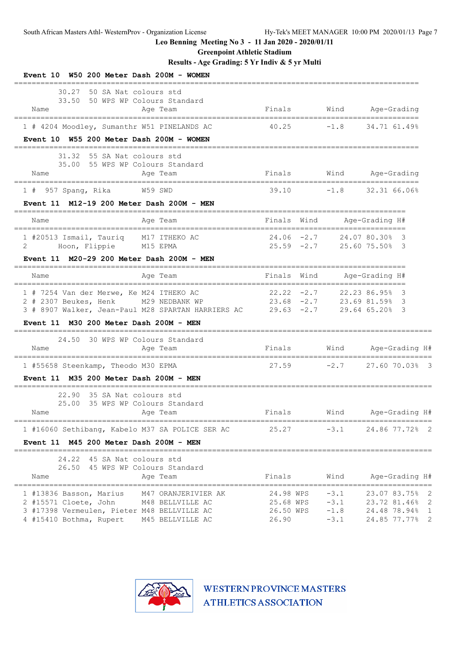**Greenpoint Athletic Stadium**

**Results - Age Grading: 5 Yr Indiv & 5 yr Multi**

| Event 10 W50 200 Meter Dash 200M - WOMEN                                                                                                                                                    |                                              |                                                             |                                                                                                                                 |
|---------------------------------------------------------------------------------------------------------------------------------------------------------------------------------------------|----------------------------------------------|-------------------------------------------------------------|---------------------------------------------------------------------------------------------------------------------------------|
| 30.27<br>50 SA Nat colours std<br>50 WPS WP Colours Standard<br>33.50<br>Name<br>Age Team                                                                                                   | Finals                                       | Wind                                                        | Age-Grading                                                                                                                     |
| 1 # 4204 Moodley, Sumanthr W51 PINELANDS AC                                                                                                                                                 | 40.25                                        | $-1.8$                                                      | 34.71 61.49%                                                                                                                    |
| Event 10 W55 200 Meter Dash 200M - WOMEN                                                                                                                                                    |                                              |                                                             |                                                                                                                                 |
| 31.32 55 SA Nat colours std<br>35.00 55 WPS WP Colours Standard<br>Age Team<br>Name                                                                                                         | Finals                                       |                                                             | Wind Age-Grading                                                                                                                |
| W59 SWD<br>$1$ # 957 Spang, Rika                                                                                                                                                            | 39.10                                        | $-1.8$                                                      | 32.31 66.06%                                                                                                                    |
| Event 11 M12-19 200 Meter Dash 200M - MEN                                                                                                                                                   |                                              |                                                             |                                                                                                                                 |
| Age Team<br>Name                                                                                                                                                                            | Finals                                       | Wind                                                        | Age-Grading H#                                                                                                                  |
| 1 #20513 Ismail, Tauriq M17 ITHEKO AC<br>Hoon, Flippie M15 EPMA<br>2                                                                                                                        | $24.06 -2.7$                                 | 25.59 -2.7 25.60 75.50% 3                                   | 24.07 80.30% 3                                                                                                                  |
| Event 11 M20-29 200 Meter Dash 200M - MEN                                                                                                                                                   |                                              |                                                             |                                                                                                                                 |
| Name<br>Age Team                                                                                                                                                                            | Finals                                       | Wind                                                        | Age-Grading H#                                                                                                                  |
| 1 # 7254 Van der Merwe, Ke M24 ITHEKO AC<br>2 # 2307 Beukes, Henk M29 NEDBANK WP<br>3 # 8907 Walker, Jean-Paul M28 SPARTAN HARRIERS AC 29.63 -2.7<br>Event 11 M30 200 Meter Dash 200M - MEN |                                              | $22.22 -2.7$ $22.23 86.95$ 3<br>$23.68$ -2.7 23.69 81.59% 3 | 29.64 65.20% 3                                                                                                                  |
|                                                                                                                                                                                             | ===============================              |                                                             |                                                                                                                                 |
| 24.50 30 WPS WP Colours Standard<br>Name<br>Age Team                                                                                                                                        | Finals                                       |                                                             | Wind Age-Grading H#<br>================                                                                                         |
| 1 #55658 Steenkamp, Theodo M30 EPMA                                                                                                                                                         |                                              | $27.59 -2.7$                                                | 27.60 70.03% 3                                                                                                                  |
| Event 11 M35 200 Meter Dash 200M - MEN                                                                                                                                                      |                                              |                                                             |                                                                                                                                 |
| 22.90 35 SA Nat colours std<br>25.00 35 WPS WP Colours Standard<br>Name<br>Age Team                                                                                                         | Finals                                       | Wind                                                        | Age-Grading H#                                                                                                                  |
| 1 #16060 Sethibang, Kabelo M37 SA POLICE SER AC                                                                                                                                             | 25.27                                        | $-3.1$                                                      | 24.86 77.72% 2                                                                                                                  |
| Event 11 M45 200 Meter Dash 200M - MEN                                                                                                                                                      |                                              |                                                             |                                                                                                                                 |
| 45 SA Nat colours std<br>24.22<br>26.50 45 WPS WP Colours Standard<br>Name<br>Age Team<br>=================================                                                                 | Finals                                       | Wind                                                        | Age-Grading H#                                                                                                                  |
| 1 #13836 Basson, Marius<br>M47 ORANJERIVIER AK<br>2 #15571 Cloete, John<br>M48 BELLVILLE AC<br>3 #17398 Vermeulen, Pieter M48 BELLVILLE AC<br>4 #15410 Bothma, Rupert<br>M45 BELLVILLE AC   | 24.98 WPS<br>25.68 WPS<br>26.50 WPS<br>26.90 | $-3.1$<br>$-3.1$<br>$-1.8$<br>$-3.1$                        | 23.07 83.75% 2<br>23.72 81.46%<br>$\overline{\phantom{0}}^2$<br>24.48 78.94%<br>1<br>$\overline{\phantom{0}}^2$<br>24.85 77.77% |

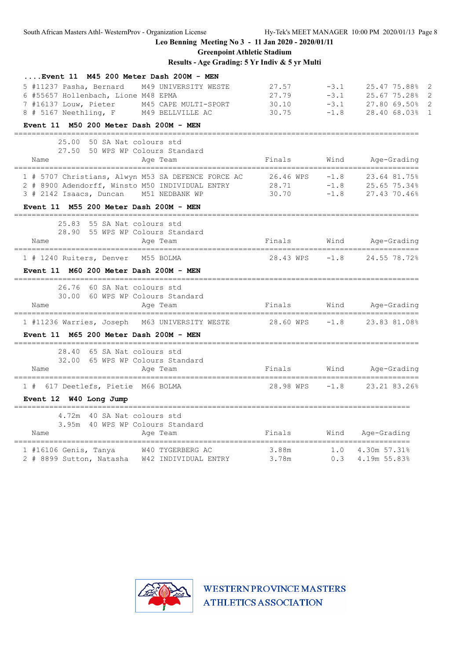South African Masters Athl- WesternProv - Organization License Hy-Tek's MEET MANAGER 10:00 PM 2020/01/13 Page 8

**Leo Benning Meeting No 3 - 11 Jan 2020 - 2020/01/11**

**Greenpoint Athletic Stadium**

# **Results - Age Grading: 5 Yr Indiv & 5 yr Multi**

| Event 11 M45 200 Meter Dash 200M - MEN                  |           |        |                         |
|---------------------------------------------------------|-----------|--------|-------------------------|
| 5 #11237 Pasha, Bernard<br>M49 UNIVERSITY WESTE         | 27.57     | $-3.1$ | 25.47 75.88% 2          |
| 6 #55657 Hollenbach, Lione M48 EPMA                     | 27.79     | $-3.1$ | 25.67 75.28%            |
| 7 #16137 Louw, Pieter<br>M45 CAPE MULTI-SPORT           | 30.10     | $-3.1$ | 27.80 69.50%            |
| 8 # 5167 Neethling, F M49 BELLVILLE AC                  | 30.75     | $-1.8$ | 28.40 68.03%            |
| Event 11 M50 200 Meter Dash 200M - MEN                  |           |        |                         |
| 25.00<br>50 SA Nat colours std                          |           |        |                         |
| 27.50 50 WPS WP Colours Standard                        |           |        |                         |
| Name<br>Age Team                                        | Finals    | Wind   | Age-Grading             |
| 1 # 5707 Christians, Alwyn M53 SA DEFENCE FORCE AC      | 26.46 WPS | $-1.8$ | 23.64 81.75%            |
| 2 # 8900 Adendorff, Winsto M50 INDIVIDUAL ENTRY         | 28.71     | $-1.8$ | 25.65 75.34%            |
| 3 # 2142 Isaacs, Duncan M51 NEDBANK WP                  | 30.70     | $-1.8$ | 27.43 70.46%            |
| Event 11 M55 200 Meter Dash 200M - MEN                  |           |        |                         |
| 25.83 55 SA Nat colours std                             |           |        |                         |
| 28.90 55 WPS WP Colours Standard                        |           |        |                         |
| Name<br>Age Team                                        | Finals    | Wind   | Age-Grading             |
| 1 # 1240 Ruiters, Denver M55 BOLMA                      | 28.43 WPS | $-1.8$ | 24.55 78.72%            |
|                                                         |           |        |                         |
| Event 11 M60 200 Meter Dash 200M - MEN                  |           |        |                         |
| 26.76<br>60 SA Nat colours std                          |           |        |                         |
| 30.00<br>60 WPS WP Colours Standard                     |           |        |                         |
| Name<br>Age Team                                        | Finals    |        | Wind Age-Grading        |
| 1 #11236 Warries, Joseph M63 UNIVERSITY WESTE 28.60 WPS |           | $-1.8$ | 23.83 81.08%            |
|                                                         |           |        |                         |
| Event 11 M65 200 Meter Dash 200M - MEN                  |           |        |                         |
| 28.40<br>65 SA Nat colours std                          |           |        |                         |
| 32.00 65 WPS WP Colours Standard                        |           |        |                         |
| Name<br>Age Team                                        |           |        | Finals Wind Age-Grading |
| 1 # 617 Deetlefs, Pietie M66 BOLMA                      | 28.98 WPS | $-1.8$ | 23.21 83.26%            |
| Event 12 W40 Long Jump                                  |           |        |                         |
|                                                         |           |        |                         |
| 4.72m 40 SA Nat colours std                             |           |        |                         |
| 3.95m 40 WPS WP Colours Standard                        |           |        |                         |
| Name<br>Age Team                                        | Finals    |        | Wind Age-Grading        |
| W40 TYGERBERG AC<br>$1$ #16106 Genis, Tanya             | 3.88m     | 1.0    | 4.30m 57.31%            |
| 2 # 8899 Sutton, Natasha W42 INDIVIDUAL ENTRY           | 3.78m     | 0.3    | 4.19m 55.83%            |

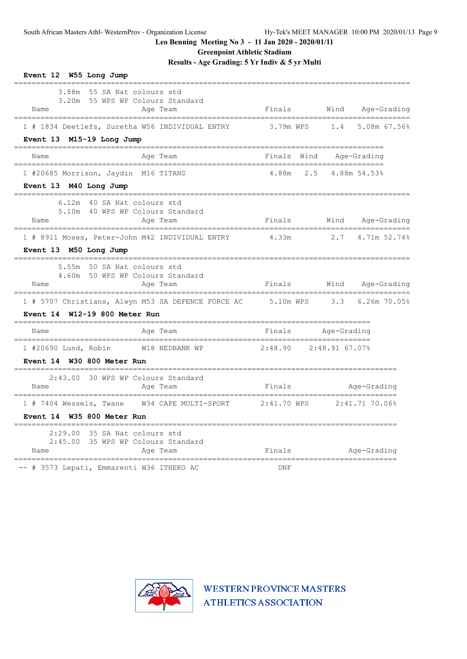**Greenpoint Athletic Stadium**

**Results - Age Grading: 5 Yr Indiv & 5 yr Multi**

| Event 12 W55 Long Jump                                                                                                                                               |                        |     |             |                  |  |
|----------------------------------------------------------------------------------------------------------------------------------------------------------------------|------------------------|-----|-------------|------------------|--|
| 3.88m 55 SA Nat colours std<br>3.20m 55 WPS WP Colours Standard<br>Name<br>Age Team<br>------------------------------------<br>------------------------------------- | Finals                 |     |             | Wind Age-Grading |  |
| 1 # 1834 Deetlefs, Suretha W56 INDIVIDUAL ENTRY<br>Event 13 M15-19 Long Jump                                                                                         | 3.79m WPS 1.4          |     |             | 5.08m 67.56%     |  |
| Age Team<br>Name                                                                                                                                                     | Finals Wind            |     |             | Age-Grading      |  |
| 1 #20685 Morrison, Jaydin M16 TITANS<br>Event 13 M40 Long Jump                                                                                                       | 4.88m                  | 2.5 |             | 4.88m 54.53%     |  |
| 6.12m 40 SA Nat colours std<br>5.10m 40 WPS WP Colours Standard<br>Age Team<br>Name                                                                                  | Finals                 |     | Wind        | Age-Grading      |  |
| 1 # 8911 Moses, Peter-John M42 INDIVIDUAL ENTRY<br>Event 13 M50 Long Jump                                                                                            | 4.33m                  |     | 2.7         | 4.71m 52.74%     |  |
| 5.55m 50 SA Nat colours std<br>4.60m 50 WPS WP Colours Standard<br>Name<br>Age Team                                                                                  | Finals                 |     |             | Wind Age-Grading |  |
| 1 # 5707 Christians, Alwyn M53 SA DEFENCE FORCE AC 5.10m WPS<br>Event 14 W12-19 800 Meter Run                                                                        |                        |     | 3.3         | 6.26m 70.05%     |  |
| Name<br>Age Team                                                                                                                                                     | Finals                 |     | Age-Grading |                  |  |
| 1 #20690 Lund, Robin W18 NEDBANK WP<br>Event 14 W30 800 Meter Run<br>______________________________________                                                          | 2:48.90 2:48.91 67.07% |     |             |                  |  |
| 30 WPS WP Colours Standard<br>2:43.00<br>Name<br>Age Team                                                                                                            | Finals                 |     |             | Age-Grading      |  |
| Event 14 W35 800 Meter Run                                                                                                                                           |                        |     |             | $2:41.71$ 70.06% |  |
| 2:29.00<br>35 SA Nat colours std<br>2:45.00<br>35 WPS WP Colours Standard<br>Age Team<br>Name                                                                        | Finals                 |     |             | Age-Grading      |  |
| ----------------------------------<br>-- # 3573 Lepati, Emmarenti W36 ITHEKO AC                                                                                      | DNF                    |     |             |                  |  |

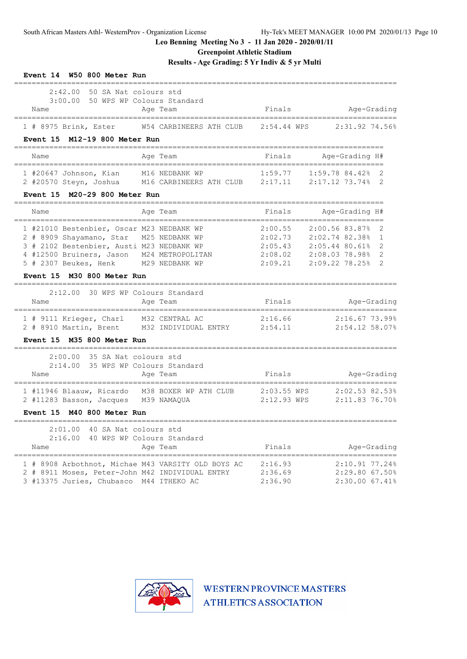**Greenpoint Athletic Stadium**

**Results - Age Grading: 5 Yr Indiv & 5 yr Multi**

| Event 14 W50 800 Meter Run                                                                                                                                                                                                                                                  |                               |                                                                                                                           |
|-----------------------------------------------------------------------------------------------------------------------------------------------------------------------------------------------------------------------------------------------------------------------------|-------------------------------|---------------------------------------------------------------------------------------------------------------------------|
| 2:42.00<br>50 SA Nat colours std<br>3:00.00 50 WPS WP Colours Standard<br>Name<br>Age Team                                                                                                                                                                                  | Finals                        | Age-Grading                                                                                                               |
| $1$ # 8975 Brink, Ester<br>W54 CARBINEERS ATH CLUB<br>Event 15 M12-19 800 Meter Run                                                                                                                                                                                         | 2:54.44 WPS                   | 2:31.92 74.56%                                                                                                            |
| Name<br>Age Team                                                                                                                                                                                                                                                            | Finals                        | Age-Grading H#                                                                                                            |
| --------------<br>1 #20647 Johnson, Kian M16 NEDBANK WP 1:59.77 1:59.78 84.42% 2<br>2 #20570 Steyn, Joshua M16 CARBINEERS ATH CLUB 2:17.11 2:17.12 73.74% 2<br>M20-29 800 Meter Run<br><b>Event 15</b>                                                                      |                               | ==================                                                                                                        |
| Age Team<br>Name                                                                                                                                                                                                                                                            | Finals                        | Age-Grading H#                                                                                                            |
| 1 #21010 Bestenbier, Oscar M23 NEDBANK WP<br>2 # 8909 Shayamano, Star M25 NEDBANK WP<br>3 # 2102 Bestenbier, Austi M23 NEDBANK WP<br>4 #12500 Bruiners, Jason M24 METROPOLITAN 2:08.02 2:08.03 78.98%<br>5 # 2307 Beukes, Henk M29 NEDBANK WP<br>Event 15 M30 800 Meter Run | 2:00.55                       | 2:00.56 83.87%<br>2<br>2:02.73 2:02.74 82.38%<br>1<br>$2:05.43$ $2:05.44$ 80.61%<br>2<br>2<br>2:09.21 2:09.22 78.25%<br>2 |
| 30 WPS WP Colours Standard<br>2:12.00<br>Age Team<br>Name                                                                                                                                                                                                                   | Finals                        | Age-Grading                                                                                                               |
| 1 # 9111 Krieger, Charl M32 CENTRAL AC<br>2 # 8910 Martin, Brent M32 INDIVIDUAL ENTRY 2:54.11<br>Event 15 M35 800 Meter Run                                                                                                                                                 | 2:16.66                       | 2:16.67 73.99%<br>2:54.12 58.07%                                                                                          |
| 2:00.00<br>35 SA Nat colours std<br>2:14.00<br>35 WPS WP Colours Standard<br>Name<br>Age Team                                                                                                                                                                               | Finals                        | Age-Grading                                                                                                               |
| 1 #11946 Blaauw, Ricardo M38 BOXER WP ATH CLUB<br>2 #11283 Basson, Jacques M39 NAMAQUA<br>Event 15 M40 800 Meter Run                                                                                                                                                        | $2:03.55$ WPS<br>2:12.93 WPS  | 2:02.53 82.53%<br>2:11.8376.70%                                                                                           |
| ====================<br>2:01.00 40 SA Nat colours std<br>2:16.00 40 WPS WP Colours Standard<br>Age Team<br>Name                                                                                                                                                             | Finals                        | Age-Grading                                                                                                               |
| 1 # 8908 Arbothnot, Michae M43 VARSITY OLD BOYS AC<br>2 # 8911 Moses, Peter-John M42 INDIVIDUAL ENTRY<br>3 #13375 Juries, Chubasco M44 ITHEKO AC                                                                                                                            | 2:16.93<br>2:36.69<br>2:36.90 | 2:10.91 77.24%<br>2:29.80 67.50%<br>2:30.00 67.41%                                                                        |

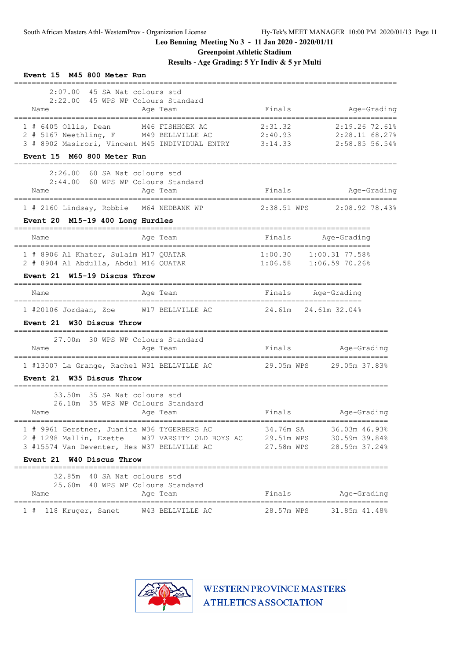**Greenpoint Athletic Stadium**

**Results - Age Grading: 5 Yr Indiv & 5 yr Multi**

| Event 15 M45 800 Meter Run                                                                                                                                              |                                                                                                                                    |
|-------------------------------------------------------------------------------------------------------------------------------------------------------------------------|------------------------------------------------------------------------------------------------------------------------------------|
| $2:07.00$ 45 SA Nat colours std<br>2:22.00 45 WPS WP Colours Standard<br>Name<br>Age Team<br>=========                                                                  | Finals<br>Age-Grading<br>;===================================                                                                      |
| 1 # 6405 Ollis, Dean M46 FISHHOEK AC<br>2 # 5167 Neethling, F M49 BELLVILLE AC<br>3 # 8902 Masirori, Vincent M45 INDIVIDUAL ENTRY 3:14.33<br>Event 15 M60 800 Meter Run | 2:31.32<br>2:19.26 72.61%<br>2:40.93<br>2:28.11 68.27%<br>2:58.85 56.54%                                                           |
| , _______________<br>2:26.00 60 SA Nat colours std<br>2:44.00 60 WPS WP Colours Standard<br>Age Team<br>Name                                                            | Finals<br>Age-Grading                                                                                                              |
| 1 # 2160 Lindsay, Robbie M64 NEDBANK WP<br>Event 20 M15-19 400 Long Hurdles                                                                                             | 2:38.51 WPS 2:08.92 78.43%                                                                                                         |
| Age Team<br>Name                                                                                                                                                        | Age-Grading<br>Finals                                                                                                              |
| 1 # 8906 Al Khater, Sulaim M17 QUATAR<br>2 # 8904 Al Abdulla, Abdul M16 QUATAR                                                                                          | 1:00.30 1:00.31 77.58%<br>1:06.58 1:06.59 70.26%                                                                                   |
| Event 21 W15-19 Discus Throw                                                                                                                                            |                                                                                                                                    |
| Age Team<br>Name                                                                                                                                                        | Finals<br>Age-Grading                                                                                                              |
| 1 #20106 Jordaan, Zoe M17 BELLVILLE AC<br>Event 21 W30 Discus Throw                                                                                                     | 24.61m 24.61m 32.04%                                                                                                               |
| 27.00m 30 WPS WP Colours Standard<br>Age Team<br>Name                                                                                                                   | Finals<br>Age-Grading                                                                                                              |
|                                                                                                                                                                         | 1 #13007 La Grange, Rachel W31 BELLVILLE AC 29.05m WPS 29.05m 37.83%                                                               |
| Event 21 W35 Discus Throw                                                                                                                                               |                                                                                                                                    |
| 33.50m 35 SA Nat colours std<br>26.10m 35 WPS WP Colours Standard<br>Age Team<br>Name                                                                                   | Finals<br>Age-Grading<br>------------------------                                                                                  |
| 1 # 9961 Gerstner, Juanita W36 TYGERBERG AC<br>3 #15574 Van Deventer, Hes W37 BELLVILLE AC                                                                              | 34.76m SA<br>36.03m 46.93%<br>2 # 1298 Mallin, Ezette W37 VARSITY OLD BOYS AC 29.51m WPS 30.59m 39.84%<br>27.58m WPS 28.59m 37.24% |
| Event 21 W40 Discus Throw                                                                                                                                               |                                                                                                                                    |
| 32.85m 40 SA Nat colours std<br>25.60m 40 WPS WP Colours Standard<br>Name<br>Age Team                                                                                   | Finals                                                                                                                             |
| 1 # 118 Kruger, Sanet W43 BELLVILLE AC                                                                                                                                  | Age-Grading<br>28.57m WPS 31.85m 41.48%                                                                                            |

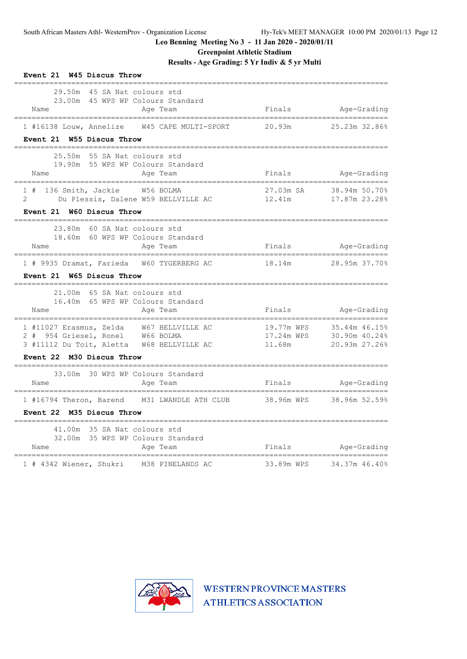**Greenpoint Athletic Stadium**

**Results - Age Grading: 5 Yr Indiv & 5 yr Multi**

| Event 21 W45 Discus Throw                                                                                                                                    |                      |                                                            |
|--------------------------------------------------------------------------------------------------------------------------------------------------------------|----------------------|------------------------------------------------------------|
| 29.50m 45 SA Nat colours std<br>23.00m 45 WPS WP Colours Standard<br>Name<br>Age Team<br>_____________________________________<br>__________________________ |                      | Finals Age-Grading<br>--------------------                 |
| 1 #16138 Louw, Annelize 6 745 CAPE MULTI-SPORT 20.93m 25.23m 32.86%<br>Event 21 W55 Discus Throw                                                             |                      |                                                            |
| 25.50m 55 SA Nat colours std<br>19.90m 55 WPS WP Colours Standard<br>Name<br>Age Team                                                                        |                      | Finals Age-Grading                                         |
| 1 # 136 Smith, Jackie W56 BOLMA<br>Du Plessis, Dalene W59 BELLVILLE AC 12.41m<br>$2 \quad$<br>Event 21 W60 Discus Throw                                      |                      | 27.03m SA 38.94m 50.70%<br>17.87m 23.28%                   |
| 23.80m 60 SA Nat colours std<br>18.60m 60 WPS WP Colours Standard<br>Name<br>Age Team                                                                        | Finals Mge-Grading   |                                                            |
| ==================================<br>1 # 9935 Dramat, Farieda W60 TYGERBERG AC<br>Event 21 W65 Discus Throw                                                 | 18.14m 28.95m 37.70% |                                                            |
| ----------------------------------<br>21.00m 65 SA Nat colours std<br>16.40m 65 WPS WP Colours Standard<br>Age Team<br>Name                                  |                      | Finals Age-Grading                                         |
| 1 #11027 Erasmus, Zelda W67 BELLVILLE AC<br>2 # 954 Griesel, Ronel W66 BOLMA<br>3 #11112 Du Toit, Aletta W68 BELLVILLE AC<br>Event 22 M30 Discus Throw       | 17.24m WPS<br>11.68m | 19.77m WPS 35.44m 46.15%<br>30.90m 40.24%<br>20.93m 27.26% |
| 33.00m 30 WPS WP Colours Standard                                                                                                                            |                      |                                                            |
| Name<br>Age Team                                                                                                                                             | Finals               | Age-Grading                                                |
| 1 #16794 Theron, Barend M31 LWANDLE ATH CLUB 38.96m WPS 38.96m 52.59%<br>Event 22 M35 Discus Throw<br>______________________________                         |                      |                                                            |
| 41.00m 35 SA Nat colours std<br>32.00m 35 WPS WP Colours Standard<br>Name<br>Age Team<br>================================                                    | Finals               | Age-Grading                                                |
| 1 # 4342 Wiener, Shukri M38 PINELANDS AC                                                                                                                     | 33.89m WPS           | 34.37m 46.40%                                              |

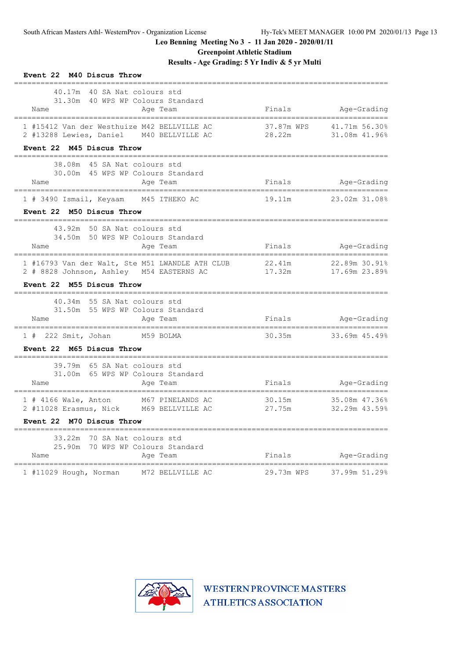**Event 22 M40 Discus Throw**

**Leo Benning Meeting No 3 - 11 Jan 2020 - 2020/01/11**

**Greenpoint Athletic Stadium**

**Results - Age Grading: 5 Yr Indiv & 5 yr Multi**

| 40.17m 40 SA Nat colours std<br>31.30m 40 WPS WP Colours Standard                          |                                |                                  |
|--------------------------------------------------------------------------------------------|--------------------------------|----------------------------------|
| Name<br>Age Team                                                                           | Finals                         | Age-Grading                      |
| 1 #15412 Van der Westhuize M42 BELLVILLE AC<br>2 #13288 Lewies, Daniel M40 BELLVILLE AC    | 37.87m WPS<br>28.22m           | 41.71m 56.30%<br>$31.08m$ 41.96% |
| Event 22 M45 Discus Throw                                                                  |                                |                                  |
| 38.08m 45 SA Nat colours std                                                               |                                |                                  |
| 30.00m 45 WPS WP Colours Standard<br>Age Team<br>Name                                      | Finals                         | Age-Grading                      |
| 1 # 3490 Ismail, Keyaam M45 ITHEKO AC                                                      | 19.11m                         | 23.02m 31.08%                    |
| Event 22 M50 Discus Throw                                                                  |                                |                                  |
| 43.92m 50 SA Nat colours std                                                               |                                |                                  |
| 34.50m 50 WPS WP Colours Standard<br>Name<br>Age Team                                      | Finals                         | Age-Grading                      |
| 1 #16793 Van der Walt, Ste M51 LWANDLE ATH CLUB                                            | 22.41m<br>17.32m 17.69m 23.89% | 22.89m 30.91%                    |
| 2 # 8828 Johnson, Ashley M54 EASTERNS AC<br>Event 22 M55 Discus Throw                      |                                |                                  |
| 40.34m 55 SA Nat colours std                                                               |                                |                                  |
| 31.50m 55 WPS WP Colours Standard                                                          |                                |                                  |
| Name<br>Age Team<br>____________________________________                                   | Finals Age-Grading             |                                  |
| 1 # 222 Smit, Johan M59 BOLMA                                                              |                                | 30.35m 33.69m 45.49%             |
| Event 22 M65 Discus Throw                                                                  |                                |                                  |
| 39.79m 65 SA Nat colours std                                                               |                                |                                  |
| 31.00m 65 WPS WP Colours Standard<br>Age Team<br>Name                                      |                                | Finals Age-Grading               |
| 1 # 4166 Wale, Anton M67 PINELANDS AC                                                      |                                | 30.15m 35.08m 47.36%             |
| 2 #11028 Erasmus, Nick M69 BELLVILLE AC 27.75m 32.29m 43.59%                               |                                |                                  |
| Event 22 M70 Discus Throw                                                                  |                                |                                  |
| 33.22m 70 SA Nat colours std                                                               |                                |                                  |
|                                                                                            |                                |                                  |
| 25.90m 70 WPS WP Colours Standard<br>Name<br>Age Team<br>--------------------------------- | Finals                         | Age-Grading                      |

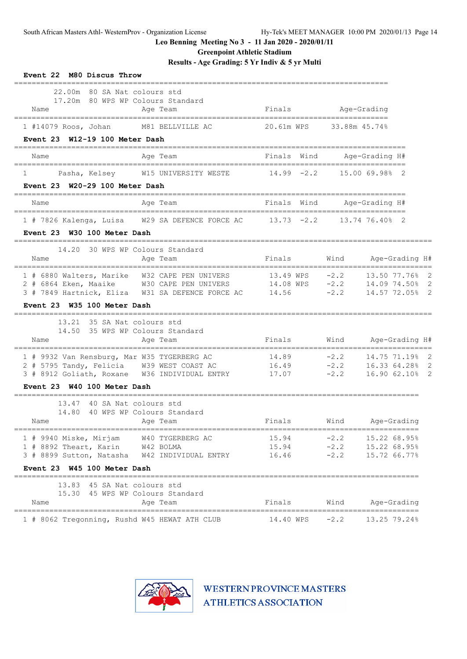**Greenpoint Athletic Stadium**

**Results - Age Grading: 5 Yr Indiv & 5 yr Multi**

| Event 22 M80 Discus Throw                                                                                                                                                |                                               |                                          |                                                  |
|--------------------------------------------------------------------------------------------------------------------------------------------------------------------------|-----------------------------------------------|------------------------------------------|--------------------------------------------------|
| 22.00m 80 SA Nat colours std<br>17.20m 80 WPS WP Colours Standard<br>Name<br>Age Team                                                                                    | Finals                                        | Age-Grading                              |                                                  |
| M81 BELLVILLE AC<br>1 #14079 Roos, Johan<br>Event 23 W12-19 100 Meter Dash                                                                                               | 20.61m WPS                                    | 33.88m 45.74%                            |                                                  |
| Name<br>Age Team                                                                                                                                                         | Finals Wind                                   |                                          | Age-Grading H#                                   |
| Pasha, Kelsey W15 UNIVERSITY WESTE<br>1<br>Event 23 W20-29 100 Meter Dash                                                                                                | $14.99 - 2.2$                                 | -------------------------                | 15.00 69.98% 2                                   |
| Name<br>Age Team                                                                                                                                                         | Finals Wind                                   |                                          | Age-Grading H#                                   |
| 1 # 7826 Kalenga, Luisa W29 SA DEFENCE FORCE AC 13.73 -2.2<br>Event 23 W30 100 Meter Dash                                                                                |                                               | ======================<br>13.74 76.40% 2 |                                                  |
| 30 WPS WP Colours Standard<br>14.20<br>Name<br>Age Team<br>=============                                                                                                 | Finals                                        | Wind                                     | Age-Grading H#                                   |
| 1 # 6880 Walters, Marike W32 CAPE PEN UNIVERS<br>2 # 6864 Eken, Maaike W30 CAPE PEN UNIVERS<br>3 # 7849 Hartnick, Eliza W31 SA DEFENCE FORCE AC                          | $13.49$ WPS $-2.2$<br>14.08 WPS -2.2<br>14.56 | $-2.2$                                   | 13.50 77.76% 2<br>14.09 74.50%<br>14.57 72.05% 2 |
| Event 23 W35 100 Meter Dash                                                                                                                                              |                                               |                                          |                                                  |
| 13.21 35 SA Nat colours std<br>35 WPS WP Colours Standard<br>14.50<br>Age Team<br>Name                                                                                   | Finals                                        | Wind                                     | Age-Grading H#                                   |
| 1 # 9932 Van Rensburg, Mar W35 TYGERBERG AC<br>2 # 5795 Tandy, Felicia W39 WEST COAST AC<br>3 # 8912 Goliath, Roxane W36 INDIVIDUAL ENTRY<br>Event 23 W40 100 Meter Dash | 14.89<br>16.49<br>17.07                       | $-2.2$<br>$-2.2$<br>$-2.2$               | 14.75 71.19% 2<br>16.33 64.28%<br>16.90 62.10% 2 |
| ----------------------<br>40 SA Nat colours std<br>13.47<br>14.80 40 WPS WP Colours Standard<br>Age Team<br>Name                                                         | Finals                                        |                                          | Wind Age-Grading                                 |
| 1 # 9940 Miske, Mirjam W40 TYGERBERG AC<br>1 # 8892 Theart, Karin W42 BOLMA                                                                                              | 15.94<br>$15.94$ $-2.2$ $15.22$ 68.95%        | $-2.2$                                   | 15.22 68.95%                                     |
| Event 23 W45 100 Meter Dash                                                                                                                                              |                                               |                                          |                                                  |
| 13.83 45 SA Nat colours std<br>15.30 45 WPS WP Colours Standard<br>Age Team<br>Name                                                                                      | Finals Wind Age-Grading                       |                                          |                                                  |
| 1 # 8062 Tregonning, Rushd W45 HEWAT ATH CLUB 14.40 WPS -2.2 13.25 79.24%                                                                                                |                                               |                                          |                                                  |

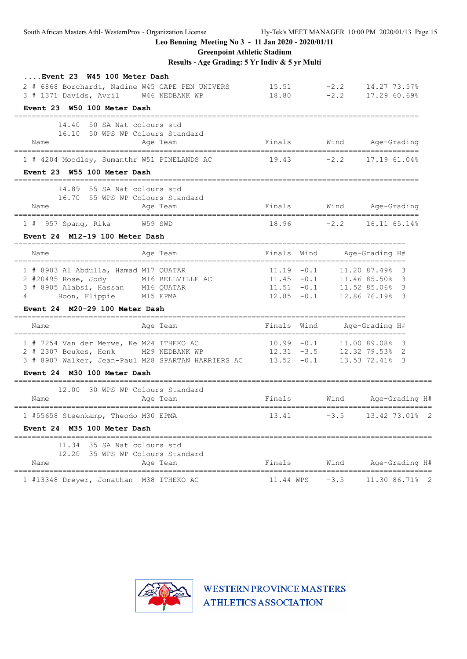**Greenpoint Athletic Stadium**

**Results - Age Grading: 5 Yr Indiv & 5 yr Multi**

| Event 23 W45 100 Meter Dash                     |                                                                 |               |        |                                          |
|-------------------------------------------------|-----------------------------------------------------------------|---------------|--------|------------------------------------------|
| 2 # 6868 Borchardt, Nadine W45 CAPE PEN UNIVERS |                                                                 | 15.51         |        | $-2.2$ 14.27 73.57%                      |
| 3 # 1371 Davids, Avril W46 NEDBANK WP           |                                                                 | 18.80         |        | $-2.2$ 17.29 60.69%                      |
| Event 23 W50 100 Meter Dash                     |                                                                 |               |        |                                          |
| 14.40 50 SA Nat colours std                     |                                                                 |               |        |                                          |
|                                                 | 16.10 50 WPS WP Colours Standard                                |               |        |                                          |
| Name                                            | Age Team                                                        |               |        | Finals Wind Age-Grading<br>============= |
| 1 # 4204 Moodley, Sumanthr W51 PINELANDS AC     |                                                                 |               |        | $19.43$ $-2.2$ $17.19$ 61.04%            |
| Event 23 W55 100 Meter Dash                     |                                                                 |               |        |                                          |
| =============                                   | =========                                                       |               |        |                                          |
| 14.89 55 SA Nat colours std                     | 16.70 55 WPS WP Colours Standard                                |               |        |                                          |
| Name                                            | Age Team                                                        |               |        | Finals Wind Age-Grading                  |
|                                                 |                                                                 |               |        |                                          |
| 1 # 957 Spang, Rika W59 SWD                     |                                                                 |               |        | $18.96$ $-2.2$ $16.11$ $65.14\%$         |
| Event 24 M12-19 100 Meter Dash                  |                                                                 |               |        |                                          |
| Name                                            | Age Team<br>_________________________                           | Finals Wind   |        | Age-Grading H#                           |
| 1 # 8903 Al Abdulla, Hamad M17 QUATAR           |                                                                 | $11.19 - 0.1$ |        | 11.20 87.49% 3                           |
| 2 #20495 Rose, Jody M16 BELLVILLE AC            |                                                                 | $11.45 - 0.1$ |        | 11.46 85.50% 3                           |
| 3 # 8905 Alabsi, Hassan M16 QUATAR              |                                                                 | $11.51 - 0.1$ |        | 11.52 85.06% 3                           |
| Hoon, Flippie M15 EPMA<br>4                     |                                                                 | $12.85 - 0.1$ |        | 12.86 76.19% 3                           |
| Event 24 M20-29 100 Meter Dash                  |                                                                 |               |        | ---------------------------              |
| Name                                            | Age Team                                                        | Finals Wind   |        | Age-Grading H#                           |
| 1 # 7254 Van der Merwe, Ke M24 ITHEKO AC        |                                                                 | $10.99 - 0.1$ |        | 11.00 89.08% 3                           |
| 2 # 2307 Beukes, Henk                           | M29 NEDBANK WP                                                  | $12.31 - 3.5$ |        | 12.32 79.53% 2                           |
|                                                 | $3$ # 8907 Walker, Jean-Paul M28 SPARTAN HARRIERS AC 13.52 -0.1 |               |        | 13.53 72.41% 3                           |
| Event 24 M30 100 Meter Dash                     |                                                                 |               |        |                                          |
| 12.00                                           | ____________________________<br>30 WPS WP Colours Standard      |               |        |                                          |
| Name                                            | Age Team                                                        | Finals        |        | Wind Age-Grading H#                      |
| 1 #55658 Steenkamp, Theodo M30 EPMA             |                                                                 | 13.41         | $-3.5$ | 13.42 73.01% 2                           |
| Event 24 M35 100 Meter Dash                     |                                                                 |               |        |                                          |
| 11.34 35 SA Nat colours std                     |                                                                 |               |        |                                          |
|                                                 | 12.20 35 WPS WP Colours Standard                                |               |        |                                          |
| Name                                            | Age Team                                                        | Finals        | Wind   | Age-Grading H#                           |
| 1 #13348 Dreyer, Jonathan M38 ITHEKO AC         |                                                                 | 11.44 WPS     | $-3.5$ | ==========<br>11.30 86.71%               |
|                                                 |                                                                 |               |        |                                          |

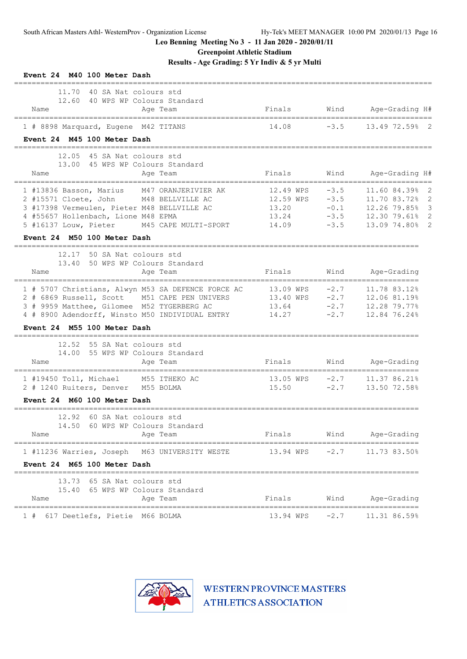**Greenpoint Athletic Stadium**

**Results - Age Grading: 5 Yr Indiv & 5 yr Multi**

| Event 24 M40 100 Meter Dash                                                                                                                                                                                                                                       |                                                   |                                                |                                                                                                     |
|-------------------------------------------------------------------------------------------------------------------------------------------------------------------------------------------------------------------------------------------------------------------|---------------------------------------------------|------------------------------------------------|-----------------------------------------------------------------------------------------------------|
| 11.70<br>40 SA Nat colours std<br>12.60<br>40 WPS WP Colours Standard<br>Age Team<br>Name                                                                                                                                                                         | Finals                                            | Wind                                           | Age-Grading H#                                                                                      |
| 1 # 8898 Marquard, Eugene M42 TITANS                                                                                                                                                                                                                              | 14.08                                             | $-3.5$                                         | 13.49 72.59%<br>- 2                                                                                 |
| Event 24 M45 100 Meter Dash                                                                                                                                                                                                                                       |                                                   |                                                |                                                                                                     |
| 12.05<br>45 SA Nat colours std<br>45 WPS WP Colours Standard<br>13.00<br>Age Team<br>Name                                                                                                                                                                         | Finals                                            | Wind                                           | Age-Grading H#                                                                                      |
| 1 #13836 Basson, Marius<br>M47 ORANJERIVIER AK<br>2 #15571 Cloete, John<br>M48 BELLVILLE AC<br>3 #17398 Vermeulen, Pieter M48 BELLVILLE AC<br>4 #55657 Hollenbach, Lione M48 EPMA<br>5 #16137 Louw, Pieter<br>M45 CAPE MULTI-SPORT<br>Event 24 M50 100 Meter Dash | 12.49 WPS<br>12.59 WPS<br>13.20<br>13.24<br>14.09 | $-3.5$<br>$-3.5$<br>$-0.1$<br>$-3.5$<br>$-3.5$ | 11.60 84.39%<br>11.70 83.72%<br>2<br>12.26 79.85%<br>12.30 79.61%<br>13.09 74.80%<br>$\overline{2}$ |
| =============<br>=========================<br>12.17<br>50 SA Nat colours std<br>13.40<br>50 WPS WP Colours Standard<br>Name<br>Age Team<br>================================                                                                                       | Finals<br>===========                             | Wind                                           | Age-Grading<br>===================                                                                  |
| 1 # 5707 Christians, Alwyn M53 SA DEFENCE FORCE AC<br>2 # 6869 Russell, Scott M51 CAPE PEN UNIVERS<br>3 # 9959 Matthee, Gilomee M52 TYGERBERG AC<br>4 # 8900 Adendorff, Winsto M50 INDIVIDUAL ENTRY<br>Event 24 M55 100 Meter Dash                                | 13.09 WPS<br>13.40 WPS<br>13.64<br>14.27          | $-2.7$<br>$-2.7$<br>$-2.7$<br>$-2.7$           | 11.78 83.12%<br>12.06 81.19%<br>12.28 79.77%<br>12.84 76.24%                                        |
| 12.52<br>55 SA Nat colours std<br>55 WPS WP Colours Standard<br>14.00<br>Name<br>Age Team<br>-----------                                                                                                                                                          | Finals                                            | Wind                                           | Age-Grading<br>==================                                                                   |
| 1 #19450 Toll, Michael<br>M55 ITHEKO AC<br>2 # 1240 Ruiters, Denver M55 BOLMA                                                                                                                                                                                     | 13.05 WPS<br>15.50                                | $-2.7$<br>$-2.7$                               | 11.37 86.21%<br>13.50 72.58%                                                                        |
| Event 24 M60 100 Meter Dash                                                                                                                                                                                                                                       |                                                   |                                                |                                                                                                     |
| 60 SA Nat colours std<br>12.92<br>14.50<br>60 WPS WP Colours Standard<br>Name<br>Age Team                                                                                                                                                                         | Finals                                            | Wind                                           | Age-Grading                                                                                         |
| 1 #11236 Warries, Joseph<br>M63 UNIVERSITY WESTE<br>Event 24 M65 100 Meter Dash                                                                                                                                                                                   | 13.94 WPS                                         | $-2.7$                                         | 11.73 83.50%                                                                                        |
| 13.73<br>65 SA Nat colours std<br>65 WPS WP Colours Standard<br>15.40<br>Name<br>Age Team                                                                                                                                                                         | Finals                                            | Wind                                           | Age-Grading                                                                                         |
| 617 Deetlefs, Pietie M66 BOLMA<br>$1 +$                                                                                                                                                                                                                           | 13.94 WPS                                         | $-2.7$                                         | 11.31 86.59%                                                                                        |

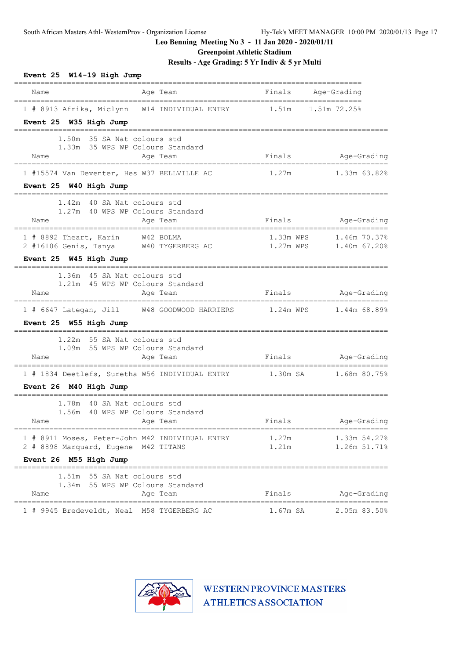**Greenpoint Athletic Stadium**

**Results - Age Grading: 5 Yr Indiv & 5 yr Multi**

| Event 25 W14-19 High Jump                                             |                                                                       |                |                               |
|-----------------------------------------------------------------------|-----------------------------------------------------------------------|----------------|-------------------------------|
| Name                                                                  | Age Team                                                              | Finals         | Age-Grading                   |
| Event 25 W35 High Jump                                                | 1 # 8913 Afrika, Miclynn W14 INDIVIDUAL ENTRY 1.51m 1.51m 72.25%      |                |                               |
| 1.50m<br>Name                                                         | 35 SA Nat colours std<br>1.33m 35 WPS WP Colours Standard<br>Age Team | Finals         | Age-Grading                   |
| 1 #15574 Van Deventer, Hes W37 BELLVILLE AC<br>Event 25 W40 High Jump |                                                                       | 1.27m          | 1.33m 63.82%                  |
| 1.42m 40 SA Nat colours std<br>Name                                   | 1.27m 40 WPS WP Colours Standard<br>Age Team                          | Finals         | Age-Grading                   |
| 1 # 8892 Theart, Karin W42 BOLMA                                      | 2 #16106 Genis, Tanya W40 TYGERBERG AC 1.27m WPS 1.40m 67.20%         |                | 1.33m WPS 1.46m 70.37%        |
| Event 25 W45 High Jump                                                |                                                                       |                |                               |
| 1.36m 45 SA Nat colours std<br>Name                                   | 1.21m 45 WPS WP Colours Standard<br>Age Team                          |                | Finals Age-Grading            |
|                                                                       | 1 # 6647 Lategan, Jill W48 GOODWOOD HARRIERS 1.24m WPS 1.44m 68.89%   |                |                               |
| Event 25 W55 High Jump                                                |                                                                       |                |                               |
| 1.22m 55 SA Nat colours std<br>Name                                   | 1.09m 55 WPS WP Colours Standard<br>Age Team                          |                | Finals Age-Grading            |
|                                                                       | 1 # 1834 Deetlefs, Suretha W56 INDIVIDUAL ENTRY 1.30m SA 1.68m 80.75% |                |                               |
| Event 26 M40 High Jump                                                |                                                                       |                |                               |
| 1.78m 40 SA Nat colours std<br>Name                                   | 1.56m 40 WPS WP Colours Standard<br>Age Team                          | Finals         | Age-Grading                   |
| 2 # 8898 Marquard, Eugene M42 TITANS                                  | 1 # 8911 Moses, Peter-John M42 INDIVIDUAL ENTRY                       | 1.27m<br>1.21m | 1.33m 54.27%<br>1.26m 51.71%  |
| Event 26 M55 High Jump                                                |                                                                       |                |                               |
| 1.51m 55 SA Nat colours std<br>Name                                   | 1.34m 55 WPS WP Colours Standard<br>Age Team                          | Finals         | Age-Grading                   |
| 1 # 9945 Bredeveldt, Neal M58 TYGERBERG AC                            |                                                                       | 1.67m SA       | =============<br>2.05m 83.50% |

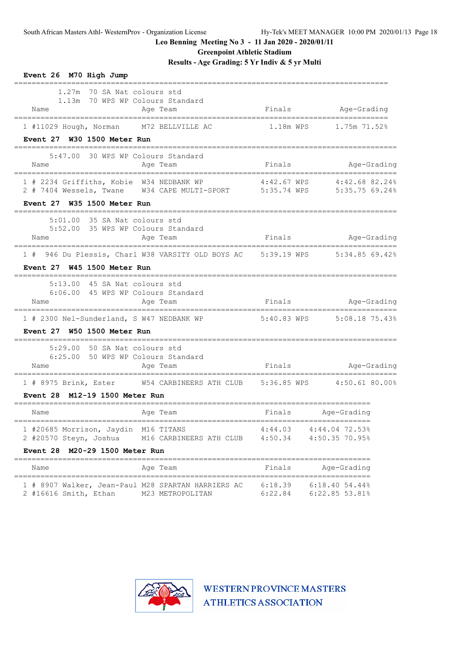**Greenpoint Athletic Stadium**

**Results - Age Grading: 5 Yr Indiv & 5 yr Multi**

| Event 26 M70 High Jump<br>_____________                                                                           |                                                                          |                    |                                  |  |
|-------------------------------------------------------------------------------------------------------------------|--------------------------------------------------------------------------|--------------------|----------------------------------|--|
| 1.27m 70 SA Nat colours std<br>1.13m 70 WPS WP Colours Standard<br>Name                                           | Age Team                                                                 |                    | Finals Age-Grading               |  |
| 1 #11029 Hough, Norman M72 BELLVILLE AC                                                                           |                                                                          | 1.18m WPS          | 1.75m 71.52%                     |  |
| Event 27 W30 1500 Meter Run                                                                                       |                                                                          |                    |                                  |  |
| 5:47.00<br>Name                                                                                                   | 30 WPS WP Colours Standard<br>Age Team                                   | Finals             | Age-Grading                      |  |
| 1 # 2234 Griffiths, Kobie W34 NEDBANK WP                                                                          |                                                                          |                    | 4:42.67 WPS 4:42.68 82.24%       |  |
| Event 27 W35 1500 Meter Run                                                                                       |                                                                          |                    |                                  |  |
| 5:01.00 35 SA Nat colours std<br>5:52.00 35 WPS WP Colours Standard<br>Name                                       | Age Team                                                                 | Finals             | Age-Grading                      |  |
|                                                                                                                   | 946 Du Plessis, Charl W38 VARSITY OLD BOYS AC 5:39.19 WPS 5:34.85 69.42% |                    |                                  |  |
| Event 27 W45 1500 Meter Run                                                                                       |                                                                          |                    |                                  |  |
| 5:13.00 45 SA Nat colours std<br>6:06.00 45 WPS WP Colours Standard<br>Name                                       | Aqe Team                                                                 | Finals             | Age-Grading                      |  |
| 1 # 2300 Nel-Sunderland, S W47 NEDBANK WP                                                                         |                                                                          |                    | 5:40.83 WPS 5:08.18 75.43%       |  |
| Event 27 W50 1500 Meter Run                                                                                       |                                                                          |                    |                                  |  |
| 5:29.00 50 SA Nat colours std<br>6:25.00 50 WPS WP Colours Standard<br>Name                                       | Age Team                                                                 |                    | Finals Mage-Grading              |  |
| -------------------------------------<br>1 # 8975 Brink, Ester W54 CARBINEERS ATH CLUB 5:36.85 WPS 4:50.61 80.00% |                                                                          |                    |                                  |  |
| M12-19 1500 Meter Run<br>Event 28                                                                                 |                                                                          |                    |                                  |  |
| Name                                                                                                              | Age Team                                                                 | Finals             | Age-Grading                      |  |
| 1 #20685 Morrison, Jaydin M16 TITANS<br>2 #20570 Steyn, Joshua                                                    | M16 CARBINEERS ATH CLUB                                                  | 4:44.03<br>4:50.34 | 4:44.04 72.53%<br>4:50.35 70.95% |  |
| Event 28 M20-29 1500 Meter Run                                                                                    |                                                                          |                    |                                  |  |
| Name                                                                                                              | Age Team                                                                 | Finals             | Age-Grading                      |  |
| 1 # 8907 Walker, Jean-Paul M28 SPARTAN HARRIERS AC<br>2 #16616 Smith, Ethan                                       | M23 METROPOLITAN                                                         | 6:18.39<br>6:22.84 | 6:18.4054.44%<br>6:22.85 53.81%  |  |

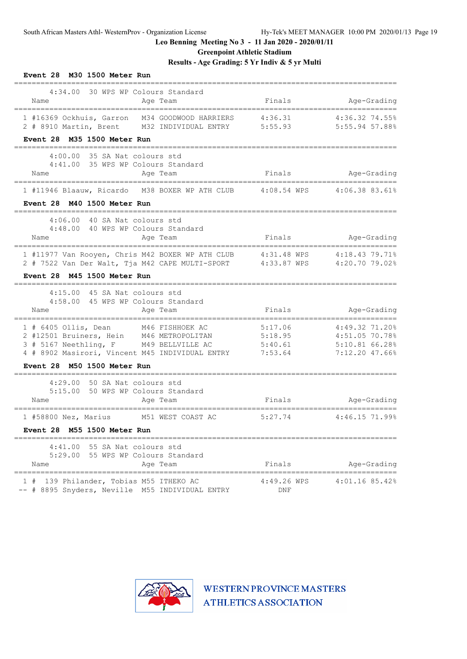**Greenpoint Athletic Stadium**

# **Results - Age Grading: 5 Yr Indiv & 5 yr Multi**

| Event 28 M30 1500 Meter Run                                                                                                    |                    |                                    |
|--------------------------------------------------------------------------------------------------------------------------------|--------------------|------------------------------------|
| 4:34.00<br>30 WPS WP Colours Standard<br>Name<br>Age Team                                                                      | Finals             | Age-Grading                        |
| 1 #16369 Ockhuis, Garron M34 GOODWOOD HARRIERS<br>2 # 8910 Martin, Brent M32 INDIVIDUAL ENTRY                                  | 4:36.31<br>5:55.93 | 4:36.32 74.55%<br>5:55.94 57.88%   |
| Event 28 M35 1500 Meter Run                                                                                                    |                    |                                    |
| 4:00.00<br>35 SA Nat colours std                                                                                               |                    |                                    |
| 35 WPS WP Colours Standard<br>4:41.00<br>Name<br>Age Team                                                                      | Finals             | Age-Grading                        |
| 1 #11946 Blaauw, Ricardo M38 BOXER WP ATH CLUB                                                                                 | 4:08.54 WPS        | 4:06.38 83.61%                     |
| M40 1500 Meter Run<br><b>Event 28</b>                                                                                          |                    |                                    |
| 40 SA Nat colours std<br>4:06.00                                                                                               |                    |                                    |
| 4:48.00 40 WPS WP Colours Standard<br>Age Team<br>Name                                                                         | Finals             | Age-Grading                        |
| 1 #11977 Van Rooyen, Chris M42 BOXER WP ATH CLUB<br>2 # 7522 Van Der Walt, Tja M42 CAPE MULTI-SPORT 4:33.87 WPS 4:20.70 79.02% | 4:31.48 WPS        | 4:18.43 79.71%                     |
| Event 28 M45 1500 Meter Run                                                                                                    |                    |                                    |
| 4:15.00<br>45 SA Nat colours std                                                                                               |                    |                                    |
| 4:58.00<br>45 WPS WP Colours Standard<br>Name<br>Age Team                                                                      | Finals             | Age-Grading                        |
| ===================================<br>;==================                                                                     |                    | -----------------------            |
| M46 FISHHOEK AC<br>$1$ # 6405 Ollis, Dean<br>2 #12501 Bruiners, Hein M46 METROPOLITAN                                          | 5:17.06<br>5:18.95 | 4:49.32 71.20%<br>$4:51.05$ 70.78% |
| 3 # 5167 Neethling, F<br>M49 BELLVILLE AC                                                                                      | 5:40.61            | $5:10.81$ 66.28%                   |
| 4 # 8902 Masirori, Vincent M45 INDIVIDUAL ENTRY 7:53.64                                                                        |                    | 7:12.20 47.66%                     |
| Event 28 M50 1500 Meter Run                                                                                                    |                    |                                    |
| 4:29.00<br>50 SA Nat colours std                                                                                               |                    |                                    |
| 50 WPS WP Colours Standard<br>5:15.00<br>Name<br>Age Team                                                                      | Finals             | Age-Grading                        |
|                                                                                                                                |                    |                                    |
| M51 WEST COAST AC<br>1 #58800 Nez, Marius<br>Event 28 M55 1500 Meter Run                                                       | 5:27.74            | 4:46.15 71.99%                     |
|                                                                                                                                |                    |                                    |
| 4:41.00<br>55 SA Nat colours std<br>5:29.00 55 WPS WP Colours Standard                                                         |                    |                                    |
| Name<br>Age Team                                                                                                               | Finals             | Age-Grading                        |
| =========================<br>139 Philander, Tobias M55 ITHEKO AC<br>1#<br>-- # 8895 Snyders, Neville M55 INDIVIDUAL ENTRY      | 4:49.26 WPS<br>DNF | ==============<br>$4:01.16$ 85.42% |

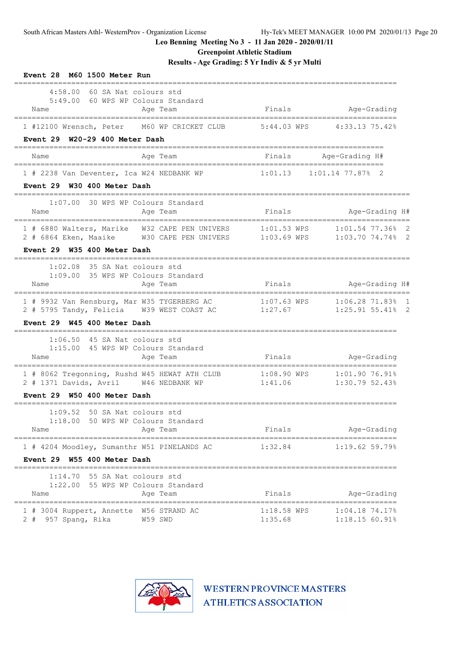**Greenpoint Athletic Stadium**

**Results - Age Grading: 5 Yr Indiv & 5 yr Multi**

| Event 28 M60 1500 Meter Run                                                                                                                           |                          |                                                   |
|-------------------------------------------------------------------------------------------------------------------------------------------------------|--------------------------|---------------------------------------------------|
| 4:58.00 60 SA Nat colours std<br>5:49.00 60 WPS WP Colours Standard<br>Age Team<br>Name                                                               |                          | Finals Age-Grading                                |
| 1 #12100 Wrensch, Peter M60 WP CRICKET CLUB 5:44.03 WPS 4:33.13 75.42%<br>Event 29 W20-29 400 Meter Dash                                              |                          |                                                   |
| Name<br>Age Team                                                                                                                                      |                          | ,,,,,,,,,,,,,,,,,,,,,,,,<br>Finals Age-Grading H# |
| 1 # 2238 Van Deventer, Ica W24 NEDBANK WP<br>Event 29 W30 400 Meter Dash                                                                              | 1:01.13                  | $1:01.14$ 77.87% 2                                |
| 1:07.00 30 WPS WP Colours Standard<br>Name<br>Age Team                                                                                                |                          | Finals Mge-Grading H#                             |
| 1 # 6880 Walters, Marike W32 CAPE PEN UNIVERS 1:01.53 WPS 1:01.54 77.36% 2<br>2 # 6864 Eken, Maaike M30 CAPE PEN UNIVERS 1:03.69 WPS 1:03.70 74.74% 2 |                          |                                                   |
| Event 29 W35 400 Meter Dash                                                                                                                           |                          |                                                   |
| $1:02.08$ 35 SA Nat colours std<br>1:09.00 35 WPS WP Colours Standard<br>Age Team<br>Name                                                             | Finals                   | Age-Grading H#                                    |
| 1 # 9932 Van Rensburg, Mar W35 TYGERBERG AC 1:07.63 WPS 1:06.28 71.83% 1<br>2 # 5795 Tandy, Felicia W39 WEST COAST AC                                 | 1:27.67                  | $1:25.91$ 55.41% 2                                |
| Event 29 W45 400 Meter Dash<br>-------------------------------                                                                                        |                          |                                                   |
| $1:06.50$ 45 SA Nat colours std<br>1:15.00 45 WPS WP Colours Standard<br>Age Team<br>Name                                                             | Finals                   | Age-Grading                                       |
| 1 # 8062 Tregonning, Rushd W45 HEWAT ATH CLUB 1:08.90 WPS 1:01.90 76.91%<br>2 # 1371 Davids, Avril W46 NEDBANK WP                                     | 1:41.06                  | 1:30.79 52.43%                                    |
| Event 29 W50 400 Meter Dash<br>--------------------------                                                                                             |                          |                                                   |
| 1:09.52<br>50 SA Nat colours std<br>1:18.00 50 WPS WP Colours Standard<br>Age Team<br>Name                                                            | Finals                   | Age-Grading                                       |
| 1 # 4204 Moodley, Sumanthr W51 PINELANDS AC                                                                                                           | 1:32.84                  | $1:19.62$ 59.79%                                  |
| Event 29 W55 400 Meter Dash                                                                                                                           |                          |                                                   |
| $1:14.70$ 55 SA Nat colours std<br>1:22.00 55 WPS WP Colours Standard<br>Age Team<br>Name                                                             | Finals                   | Age-Grading                                       |
| 1 # 3004 Ruppert, Annette W56 STRAND AC<br>2 # 957 Spang, Rika<br>W59 SWD                                                                             | $1:18.58$ WPS<br>1:35.68 | $1:04.18$ 74.17%<br>$1:18.15$ 60.91%              |

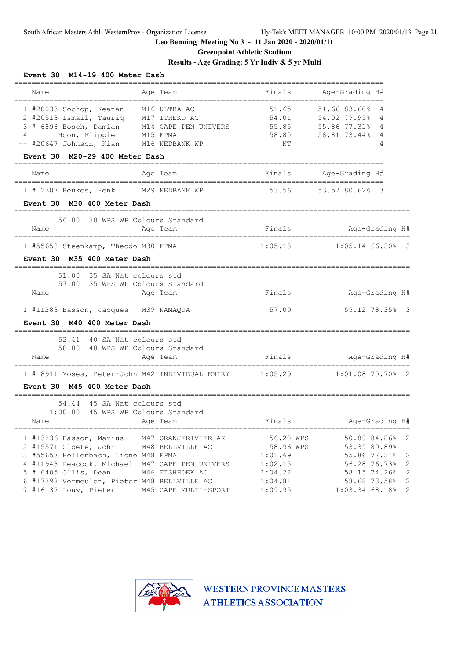# **Greenpoint Athletic Stadium**

# **Results - Age Grading: 5 Yr Indiv & 5 yr Multi**

| Event 30 M14-19 400 Meter Dash                                                                                                                                                                                                                                                   |                                         |                                                                               |                                                                                                                              |  |
|----------------------------------------------------------------------------------------------------------------------------------------------------------------------------------------------------------------------------------------------------------------------------------|-----------------------------------------|-------------------------------------------------------------------------------|------------------------------------------------------------------------------------------------------------------------------|--|
| Name<br>Age Team                                                                                                                                                                                                                                                                 |                                         | Finals                                                                        | Age-Grading H#                                                                                                               |  |
| 1 #20033 Sochop, Keanan<br>2 #20513 Ismail, Tauriq M17 ITHEKO AC<br>3 # 6898 Bosch, Damian M14 CAPE PEN UNIVERS                                                                                                                                                                  | M16 ULTRA AC                            | 51.65<br>54.01<br>55.85                                                       | 51.66 83.60%<br>4<br>54.02 79.95%<br>4<br>55.86 77.31%<br>4                                                                  |  |
| Hoon, Flippie<br>4<br>M15 EPMA<br>-- #20647 Johnson, Kian                                                                                                                                                                                                                        | M16 NEDBANK WP                          | 58.80<br>NΤ                                                                   | 58.81 73.44%<br>4<br>4                                                                                                       |  |
| Event 30 M20-29 400 Meter Dash                                                                                                                                                                                                                                                   |                                         |                                                                               |                                                                                                                              |  |
| Age Team<br>Name                                                                                                                                                                                                                                                                 |                                         | Finals                                                                        | Age-Grading H#                                                                                                               |  |
| 1 # 2307 Beukes, Henk<br>M29 NEDBANK WP                                                                                                                                                                                                                                          |                                         | 53.56                                                                         | 53.57 80.62% 3                                                                                                               |  |
| Event 30 M30 400 Meter Dash                                                                                                                                                                                                                                                      |                                         |                                                                               |                                                                                                                              |  |
| 56.00 30 WPS WP Colours Standard<br>Name<br>Age Team                                                                                                                                                                                                                             |                                         | Finals                                                                        | Age-Grading H#                                                                                                               |  |
| 1 #55658 Steenkamp, Theodo M30 EPMA                                                                                                                                                                                                                                              |                                         | 1:05.13                                                                       | $1:05.14$ 66.30% 3                                                                                                           |  |
| Event 30 M35 400 Meter Dash                                                                                                                                                                                                                                                      |                                         |                                                                               |                                                                                                                              |  |
| 51.00 35 SA Nat colours std<br>57.00 35 WPS WP Colours Standard<br>Age Team<br>Name                                                                                                                                                                                              |                                         | Finals                                                                        | Age-Grading H#                                                                                                               |  |
| 1 #11283 Basson, Jacques M39 NAMAQUA<br>Event 30 M40 400 Meter Dash                                                                                                                                                                                                              |                                         | 57.09                                                                         | 55.12 78.35% 3                                                                                                               |  |
| 52.41<br>40 SA Nat colours std<br>40 WPS WP Colours Standard<br>58.00<br>Name<br>Age Team                                                                                                                                                                                        |                                         | Finals                                                                        | Age-Grading H#                                                                                                               |  |
| 1 # 8911 Moses, Peter-John M42 INDIVIDUAL ENTRY<br>Event 30 M45 400 Meter Dash                                                                                                                                                                                                   |                                         | 1:05.29                                                                       | $1:01.08$ 70.70% 2                                                                                                           |  |
| 54.44 45 SA Nat colours std                                                                                                                                                                                                                                                      |                                         |                                                                               |                                                                                                                              |  |
| 1:00.00 45 WPS WP Colours Standard<br>Name<br>Age Team                                                                                                                                                                                                                           |                                         | Finals                                                                        | Age-Grading H#                                                                                                               |  |
| 1 #13836 Basson, Marius M47 ORANJERIVIER AK<br>2 #15571 Cloete, John M48 BELLVILLE AC<br>3 #55657 Hollenbach, Lione M48 EPMA<br>4 #11943 Peacock, Michael M47 CAPE PEN UNIVERS<br>$5$ # 6405 Ollis, Dean<br>6 #17398 Vermeulen, Pieter M48 BELLVILLE AC<br>7 #16137 Louw, Pieter | M46 FISHHOEK AC<br>M45 CAPE MULTI-SPORT | 56.20 WPS<br>58.96 WPS<br>1:01.69<br>1:02.15<br>1:04.22<br>1:04.81<br>1:09.95 | 50.89 84.86% 2<br>53.39 80.89% 1<br>55.86 77.31% 2<br>56.28 76.73% 2<br>58.15 74.26% 2<br>58.68 73.58% 2<br>1:03.34 68.18% 2 |  |

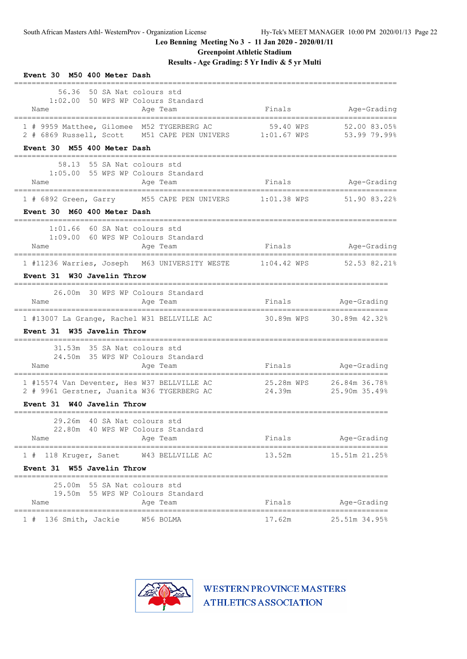**Greenpoint Athletic Stadium**

# **Results - Age Grading: 5 Yr Indiv & 5 yr Multi**

| Event 30 M50 400 Meter Dash<br>__________                                                                                                  |                                    |                     |
|--------------------------------------------------------------------------------------------------------------------------------------------|------------------------------------|---------------------|
| 56.36 50 SA Nat colours std<br>1:02.00 50 WPS WP Colours Standard<br>Name<br>Age Team                                                      |                                    | Finals Mage-Grading |
| 1 # 9959 Matthee, Gilomee M52 TYGERBERG AC 59.40 WPS 52.00 83.05%<br>2 # 6869 Russell, Scott M51 CAPE PEN UNIVERS 1:01.67 WPS 53.99 79.99% |                                    |                     |
| Event 30 M55 400 Meter Dash                                                                                                                |                                    |                     |
| 58.13 55 SA Nat colours std<br>1:05.00 55 WPS WP Colours Standard<br>Name<br>Age Team                                                      | Finals                             | Age-Grading         |
| 1 # 6892 Green, Garry M55 CAPE PEN UNIVERS 1:01.38 WPS 51.90 83.22%                                                                        |                                    |                     |
| Event 30 M60 400 Meter Dash                                                                                                                |                                    |                     |
| $1:01.66$ 60 SA Nat colours std<br>1:09.00 60 WPS WP Colours Standard<br>Age Team<br>Name                                                  |                                    | Finals Mage-Grading |
| 1 #11236 Warries, Joseph M63 UNIVERSITY WESTE 1:04.42 WPS 52.53 82.21%                                                                     |                                    |                     |
| Event 31 W30 Javelin Throw                                                                                                                 |                                    |                     |
| 26.00m 30 WPS WP Colours Standard                                                                                                          |                                    |                     |
| Name<br>Age Team                                                                                                                           | Finals Mge-Grading                 |                     |
| 1 #13007 La Grange, Rachel W31 BELLVILLE AC 30.89m WPS 30.89m 42.32%                                                                       |                                    |                     |
| Event 31 W35 Javelin Throw                                                                                                                 |                                    |                     |
| 31.53m 35 SA Nat colours std<br>24.50m 35 WPS WP Colours Standard                                                                          |                                    |                     |
| Name<br>Aqe Team                                                                                                                           | Finals Age-Grading                 |                     |
| 1 #15574 Van Deventer, Hes W37 BELLVILLE AC<br>2 # 9961 Gerstner, Juanita W36 TYGERBERG AC                                                 | 25.28m WPS 26.84m 36.78%<br>24.39m | 25.90m 35.49%       |
| Event 31 W40 Javelin Throw                                                                                                                 |                                    |                     |
| 29.26m 40 SA Nat colours std<br>22.80m 40 WPS WP Colours Standard<br>Age Team<br>Name                                                      | Finals                             | Age-Grading         |
| 1 # 118 Kruger, Sanet<br>W43 BELLVILLE AC                                                                                                  | 13.52m                             | 15.51m 21.25%       |
| Event 31 W55 Javelin Throw                                                                                                                 |                                    |                     |
| 25.00m 55 SA Nat colours std<br>19.50m 55 WPS WP Colours Standard                                                                          |                                    |                     |
| Name<br>Age Team                                                                                                                           | Finals                             | Age-Grading         |
| W56 BOLMA<br>1#<br>136 Smith, Jackie                                                                                                       | 17.62m                             | 25.51m 34.95%       |

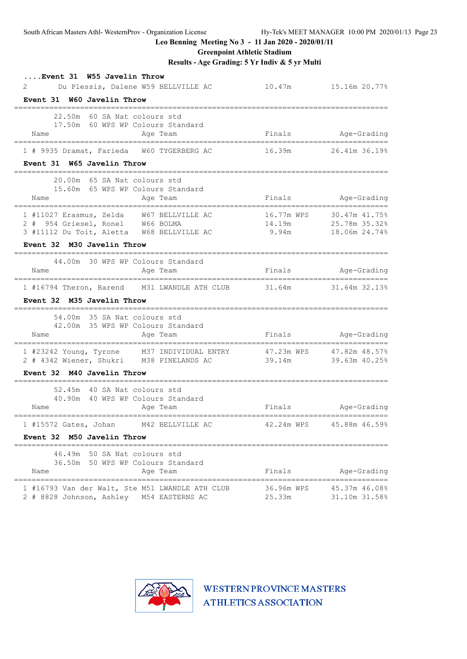**Greenpoint Athletic Stadium**

**Results - Age Grading: 5 Yr Indiv & 5 yr Multi**

| Event 31 W55 Javelin Throw<br>2                                                                                                                |                          | 10.47m   15.16m   20.77%                                     |
|------------------------------------------------------------------------------------------------------------------------------------------------|--------------------------|--------------------------------------------------------------|
| Du Plessis, Dalene W59 BELLVILLE AC<br>Event 31 W60 Javelin Throw                                                                              |                          |                                                              |
| -----<br>22.50m 60 SA Nat colours std<br>17.50m 60 WPS WP Colours Standard<br>Name<br>Age Team                                                 | Finals Age-Grading       |                                                              |
| __________________________________<br>;=======================<br>1 # 9935 Dramat, Farieda W60 TYGERBERG AC<br>Event 31 W65 Javelin Throw      |                          | ===================<br>16.39m 26.41m 36.19%                  |
| ___________<br>20.00m 65 SA Nat colours std<br>15.60m 65 WPS WP Colours Standard<br>Name<br>Age Team                                           |                          | Finals Age-Grading                                           |
| 1 #11027 Erasmus, Zelda W67 BELLVILLE AC<br>2 # 954 Griesel, Ronel W66 BOLMA<br>3 #11112 Du Toit, Aletta W68 BELLVILLE AC                      | 14.19m                   | 16.77m WPS 30.47m 41.75%<br>14.19m<br>9.94m<br>18.06m 24.74% |
| Event 32 M30 Javelin Throw                                                                                                                     |                          |                                                              |
| 44.00m 30 WPS WP Colours Standard<br>Name<br>Age Team                                                                                          | Finals                   | Age-Grading                                                  |
| 1 #16794 Theron, Barend M31 LWANDLE ATH CLUB 31.64m 31.64m 32.13%<br>Event 32 M35 Javelin Throw                                                |                          |                                                              |
| 54.00m 35 SA Nat colours std<br>42.00m 35 WPS WP Colours Standard<br>Age Team<br>Name                                                          | Finals                   | Age-Grading                                                  |
| 1 #23242 Young, Tyrone M37 INDIVIDUAL ENTRY 47.23m WPS 47.82m 48.57%<br>2 # 4342 Wiener, Shukri M38 PINELANDS AC<br>Event 32 M40 Javelin Throw | 39.14m                   | 39.63m 40.25%                                                |
| 52.45m 40 SA Nat colours std<br>40.90m 40 WPS WP Colours Standard<br>Name<br>Age Team                                                          |                          | Finals Age-Grading                                           |
| 1 #15572 Gates, Johan M42 BELLVILLE AC<br>Event 32 M50 Javelin Throw                                                                           | 42.24m WPS 45.88m 46.59% |                                                              |
| 46.49m 50 SA Nat colours std<br>36.50m 50 WPS WP Colours Standard<br>Age Team<br>Name                                                          | Finals                   | Age-Grading                                                  |
| 1 #16793 Van der Walt, Ste M51 LWANDLE ATH CLUB<br>2 # 8828 Johnson, Ashley M54 EASTERNS AC                                                    | 36.96m WPS<br>25.33m     | 45.37m 46.08%<br>31.10m 31.58%                               |

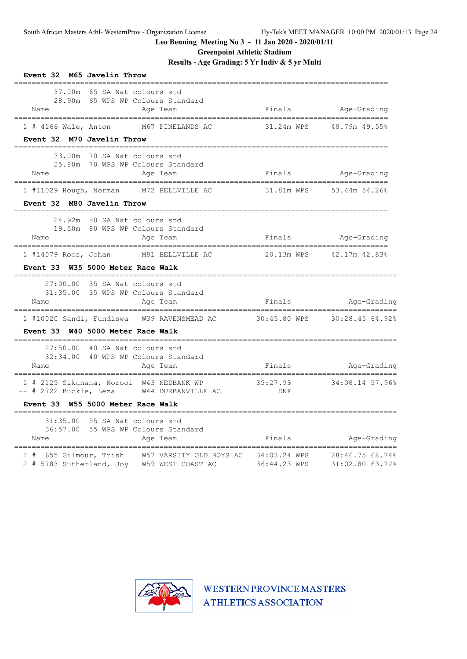**Greenpoint Athletic Stadium**

**Results - Age Grading: 5 Yr Indiv & 5 yr Multi**

| Event 32 M65 Javelin Throw                                                                                                              |                    |                          |
|-----------------------------------------------------------------------------------------------------------------------------------------|--------------------|--------------------------|
| 37.00m 65 SA Nat colours std<br>28.90m 65 WPS WP Colours Standard<br>Age Team<br>Name                                                   | Finals Mge-Grading |                          |
| 1 # 4166 Wale, Anton M67 PINELANDS AC<br>Event 32 M70 Javelin Throw                                                                     |                    | 31.24m WPS 48.79m 49.55% |
| -------------------<br>============<br>33.00m 70 SA Nat colours std<br>25.80m 70 WPS WP Colours Standard<br>Name<br>Aqe Team            | Finals Mge-Grading |                          |
| 1 #11029 Hough, Norman M72 BELLVILLE AC<br>Event 32 M80 Javelin Throw                                                                   |                    | 31.81m WPS 53.44m 54.26% |
| ====================================<br>24.92m 80 SA Nat colours std<br>19.50m 80 WPS WP Colours Standard<br>Name<br>Aqe Team           | Finals Age-Grading |                          |
| 1 #14079 Roos, Johan M81 BELLVILLE AC<br>Event 33 W35 5000 Meter Race Walk                                                              |                    | 20.13m WPS 42.17m 42.83% |
| $27:00.00$ 35 SA Nat colours std<br>31:35.00 35 WPS WP Colours Standard<br>Age Team<br>Name                                             |                    | Finals Mage-Grading      |
| Event 33 W40 5000 Meter Race Walk                                                                                                       |                    |                          |
| 27:50.00 40 SA Nat colours std<br>32:34.00 40 WPS WP Colours Standard<br>Age Team<br>Name                                               | Finals             | Age-Grading              |
| 1 # 2125 Sikunana, Norooi W43 NEDBANK WP<br>-- # 2722 Buckle, Leza W44 DURBANVILLE AC<br>Event 33 W55 5000 Meter Race Walk              | 35:27.93<br>DNF    | 34:08.14 57.96%          |
| =================<br>_____________________<br>31:35.00 55 SA Nat colours std<br>36:57.00 55 WPS WP Colours Standard<br>Aqe Team<br>Name | Finals             | Age-Grading              |
| 1 # 655 Gilmour, Trish W57 VARSITY OLD BOYS AC 34:03.24 WPS 28:46.75 68.74%<br>2 # 5783 Sutherland, Joy W59 WEST COAST AC 36:44.23 WPS  |                    | 31:02.80 63.72%          |

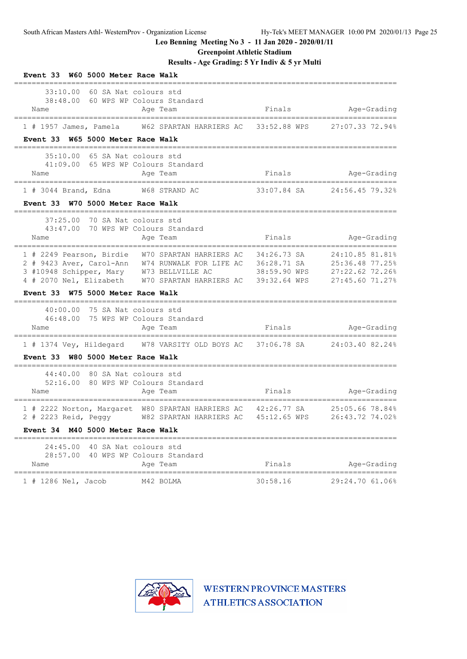**Greenpoint Athletic Stadium**

**Results - Age Grading: 5 Yr Indiv & 5 yr Multi**

| Event 33 W60 5000 Meter Race Walk                                                                                                                                                                                            |                                                             |                             |                                                                          |
|------------------------------------------------------------------------------------------------------------------------------------------------------------------------------------------------------------------------------|-------------------------------------------------------------|-----------------------------|--------------------------------------------------------------------------|
| 33:10.00<br>60 SA Nat colours std<br>38:48.00<br>Name                                                                                                                                                                        | 60 WPS WP Colours Standard<br>Age Team                      | Finals                      | Age-Grading                                                              |
| $1$ # 1957 James, Pamela                                                                                                                                                                                                     | W62 SPARTAN HARRIERS AC                                     | 33:52.88 WPS                | 27:07.33 72.94%                                                          |
| Event 33 W65 5000 Meter Race Walk<br>-------------------------------------                                                                                                                                                   |                                                             |                             |                                                                          |
| 35:10.00<br>65 SA Nat colours std<br>41:09.00 65 WPS WP Colours Standard<br>Name                                                                                                                                             | Age Team                                                    |                             | Finals Mge-Grading                                                       |
| $1$ # 3044 Brand, Edna                                                                                                                                                                                                       | W68 STRAND AC                                               | 33:07.84 SA                 | 24:56.45 79.32%                                                          |
| Event 33 W70 5000 Meter Race Walk                                                                                                                                                                                            |                                                             |                             |                                                                          |
| ________________________________<br>37:25.00<br>70 SA Nat colours std<br>43:47.00<br>Name<br>----------------------------------                                                                                              | 70 WPS WP Colours Standard<br>Age Team<br>----------------- | Finals                      | Age-Grading<br>---------------------------                               |
| 1 # 2249 Pearson, Birdie W70 SPARTAN HARRIERS AC<br>2 # 9423 Aver, Carol-Ann W74 RUNWALK FOR LIFE AC 36:28.71 SA<br>3 #10948 Schipper, Mary W73 BELLVILLE AC<br>4 # 2070 Nel, Elizabeth W70 SPARTAN HARRIERS AC 39:32.64 WPS |                                                             | 34:26.73 SA<br>38:59.90 WPS | 24:10.85 81.81%<br>25:36.48 77.25%<br>27:22.62 72.26%<br>27:45.60 71.27% |
| Event 33 W75 5000 Meter Race Walk                                                                                                                                                                                            |                                                             |                             |                                                                          |
| 40:00.00<br>75 SA Nat colours std<br>46:48.00<br>Name                                                                                                                                                                        | 75 WPS WP Colours Standard<br>Age Team                      |                             | Finals Mage-Grading                                                      |
| 1 # 1374 Vey, Hildegard W78 VARSITY OLD BOYS AC 37:06.78 SA 24:03.40 82.24%                                                                                                                                                  |                                                             |                             |                                                                          |
| Event 33 W80 5000 Meter Race Walk                                                                                                                                                                                            |                                                             |                             |                                                                          |
| 80 SA Nat colours std<br>44:40.00<br>52:16.00<br>Name<br>=======================                                                                                                                                             | 80 WPS WP Colours Standard<br>Age Team                      | Finals                      | Age-Grading                                                              |
| 1 # 2222 Norton, Margaret W80 SPARTAN HARRIERS AC 42:26.77 SA<br>2 # 2223 Reid, Peggy W82 SPARTAN HARRIERS AC                                                                                                                |                                                             | ==========<br>45:12.65 WPS  | ===========<br>25:05.66 78.84%<br>26:43.72 74.02%                        |
| Event 34 M40 5000 Meter Race Walk<br>======                                                                                                                                                                                  | --------------------                                        |                             |                                                                          |
| 24:45.00 40 SA Nat colours std<br>28:57.00 40 WPS WP Colours Standard<br>Name                                                                                                                                                | Age Team                                                    | Finals                      | Age-Grading                                                              |
| 1 # 1286 Nel, Jacob                                                                                                                                                                                                          | M42 BOLMA                                                   | 30:58.16                    | 29:24.70 61.06%                                                          |

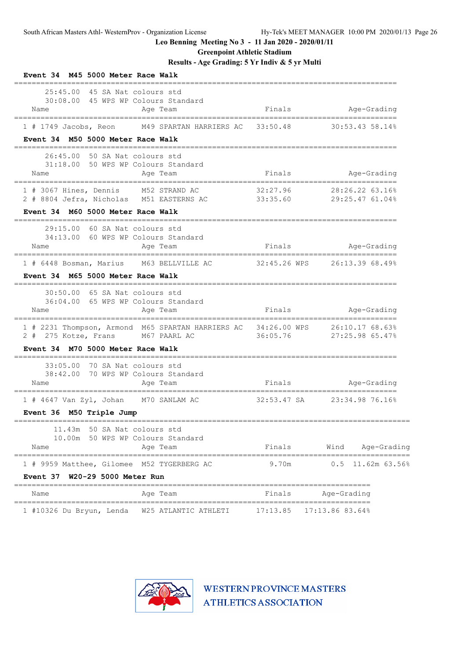**Greenpoint Athletic Stadium**

**Results - Age Grading: 5 Yr Indiv & 5 yr Multi**

| M45 5000 Meter Race Walk<br>Event 34                                                                   |             |                                                                    |
|--------------------------------------------------------------------------------------------------------|-------------|--------------------------------------------------------------------|
| 25:45.00<br>45 SA Nat colours std<br>30:08.00 45 WPS WP Colours Standard<br>Name<br>Age Team           |             | Finals Aqe-Grading                                                 |
| 1 # 1749 Jacobs, Reon<br>M49 SPARTAN HARRIERS AC                                                       | 33:50.48    | 30:53.4358.14%                                                     |
| Event 34 M50 5000 Meter Race Walk<br>===============                                                   |             |                                                                    |
| 26:45.00<br>50 SA Nat colours std<br>31:18.00 50 WPS WP Colours Standard<br>Name<br>Age Team           | Finals      | Age-Grading                                                        |
| 1 # 3067 Hines, Dennis M52 STRAND AC<br>2 # 8804 Jefra, Nicholas M51 EASTERNS AC 33:35.60              | 32:27.96    | 28:26.22 63.16%<br>29:25.47 61.04%                                 |
| Event 34 M60 5000 Meter Race Walk                                                                      |             |                                                                    |
| 60 SA Nat colours std<br>29:15.00<br>34:13.00 60 WPS WP Colours Standard<br>Age Team<br>Name           | Finals      | Age-Grading                                                        |
| 1 # 6448 Bosman, Marius M63 BELLVILLE AC 32:45.26 WPS 26:13.39 68.49%                                  |             |                                                                    |
| Event 34 M65 5000 Meter Race Walk                                                                      |             |                                                                    |
| 30:50.00 65 SA Nat colours std<br>36:04.00 65 WPS WP Colours Standard<br>Age Team<br>Name              | Finals      | Age-Grading                                                        |
| 1 # 2231 Thompson, Armond M65 SPARTAN HARRIERS AC 34:26.00 WPS<br>2 # 275 Kotze, Frans<br>M67 PAARL AC | 36:05.76    | ============================<br>26:10.17 68.63%<br>27:25.98 65.47% |
| M70 5000 Meter Race Walk<br><b>Event 34</b><br>========                                                |             |                                                                    |
| 33:05.00<br>70 SA Nat colours std<br>70 WPS WP Colours Standard<br>38:42.00<br>Age Team<br>Name        | Finals      | Age-Grading                                                        |
| ---------------------------------<br>1 # 4647 Van Zyl, Johan M70 SANLAM AC                             | 32:53.47 SA | 23:34.98 76.16%                                                    |
| Event 36 M50 Triple Jump                                                                               |             |                                                                    |
| 11.43m 50 SA Nat colours std<br>10.00m 50 WPS WP Colours Standard<br>Age Team<br>Name                  | Finals      | Wind<br>Age-Grading                                                |
| 1 # 9959 Matthee, Gilomee M52 TYGERBERG AC                                                             | 9.70m       | ==================<br>0.5<br>11.62m 63.56%                         |
| Event 37 W20-29 5000 Meter Run                                                                         |             |                                                                    |
| Age Team<br>Name                                                                                       | Finals      | Age-Grading                                                        |
| W25 ATLANTIC ATHLETI<br>1 #10326 Du Bryun, Lenda                                                       | 17:13.85    | 17:13.86 83.64%                                                    |

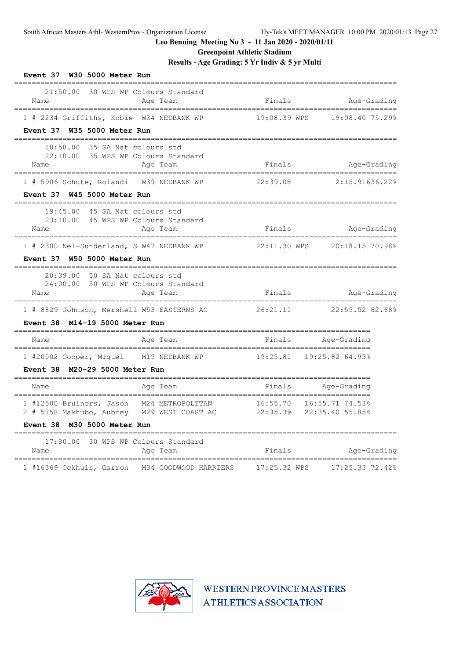**Greenpoint Athletic Stadium**

**Results - Age Grading: 5 Yr Indiv & 5 yr Multi**

| Event 37 W30 5000 Meter Run                                                                                                     |                                    |                                       |
|---------------------------------------------------------------------------------------------------------------------------------|------------------------------------|---------------------------------------|
| 21:50.00<br>30 WPS WP Colours Standard<br>Name<br>Age Team<br>====================================                              | Finals<br>;======================  | Age-Grading<br>.===================== |
| 1 # 2234 Griffiths, Kobie W34 NEDBANK WP                                                                                        | 19:08.39 WPS                       | 19:08.40 75.29%                       |
| Event 37 W35 5000 Meter Run                                                                                                     |                                    |                                       |
| 18:58.00 35 SA Nat colours std<br>22:10.00 35 WPS WP Colours Standard<br>Name<br>Age Team<br>================================== | Finals<br>.===================     | Age-Grading<br>---------------------- |
| 1 # 5906 Schute, Rolandi W39 NEDBANK WP                                                                                         | 22:39.08                           | 2:15.91636.22%                        |
| Event 37 W45 5000 Meter Run                                                                                                     |                                    |                                       |
| 45 SA Nat colours std<br>19:45.00<br>23:10.00 45 WPS WP Colours Standard<br>Age Team<br>Name                                    | Finals                             | Age-Grading                           |
| --------------------------<br>1 # 2300 Nel-Sunderland, S W47 NEDBANK WP                                                         | ==================<br>22:11.30 WPS | =============<br>20:18.15 70.98%      |
| Event 37 W50 5000 Meter Run                                                                                                     |                                    |                                       |
| 20:39.00<br>50 SA Nat colours std<br>24:00.00 50 WPS WP Colours Standard<br>Name<br>Age Team                                    | Finals                             | Age-Grading                           |
| .===============================<br>1 # 8829 Johnson, Mershell W53 EASTERNS AC $26:21.11$ 22:59.52 62.68%                       | ----------------------             | ,,,,,,,,,,,,,,,,,,,,,,,,              |
| Event 38 M14-19 5000 Meter Run                                                                                                  |                                    |                                       |
| Age Team<br>Name                                                                                                                | Finals                             | Age-Grading                           |
| 1 #20002 Cooper, Miguel M19 NEDBANK WP                                                                                          |                                    | 19:25.81  19:25.82  64.93%            |
| Event 38 M20-29 5000 Meter Run                                                                                                  |                                    |                                       |
| Name<br>Age Team                                                                                                                | Finals<br>-------------------      | Age-Grading<br>=================      |
| 1 #12500 Bruiners, Jason M24 METROPOLITAN<br>2 # 5758 Makhubo, Aubrey M29 WEST COAST AC 22:35.39 22:35.40 55.85%                |                                    | 16:55.70  16:55.71  74.53%            |
| Event 38 M30 5000 Meter Run                                                                                                     |                                    |                                       |
| 17:30.00 30 WPS WP Colours Standard<br>Name<br>Age Team                                                                         | Finals                             | Age-Grading                           |
| 1 #16369 Ockhuis, Garron M34 GOODWOOD HARRIERS                                                                                  | 17:25.32 WPS                       | 17:25.33 72.42%                       |

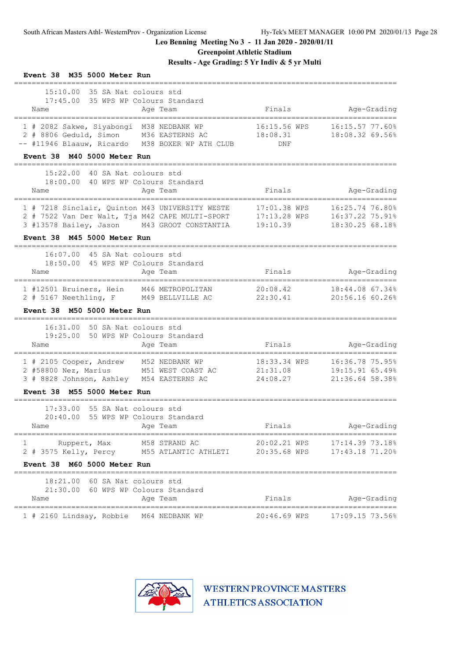**Greenpoint Athletic Stadium**

**Results - Age Grading: 5 Yr Indiv & 5 yr Multi**

| Event 38 M35 5000 Meter Run                                                                                                                                                                            |                                      |                                                               |
|--------------------------------------------------------------------------------------------------------------------------------------------------------------------------------------------------------|--------------------------------------|---------------------------------------------------------------|
| 15:10.00 35 SA Nat colours std<br>17:45.00 35 WPS WP Colours Standard<br>Name<br>Age Team                                                                                                              | Finals                               | Age-Grading                                                   |
| 1 # 2082 Sakwe, Siyabongi M38 NEDBANK WP<br>2 # 8806 Geduld, Simon M36 EASTERNS AC<br>-- #11946 Blaauw, Ricardo M38 BOXER WP ATH CLUB<br>Event 38 M40 5000 Meter Run                                   | 16:15.56 WPS<br>18:08.31<br>DNF      | 16:15.57 77.60%<br>18:08.32 69.56%                            |
|                                                                                                                                                                                                        |                                      |                                                               |
| 15:22.00 40 SA Nat colours std<br>18:00.00 40 WPS WP Colours Standard<br>Age Team<br>Name                                                                                                              | Finals                               | Age-Grading                                                   |
| 1 # 7218 Sinclair, Quinton M43 UNIVERSITY WESTE<br>2 # 7522 Van Der Walt, Tja M42 CAPE MULTI-SPORT 17:13.28 WPS<br>3 #13578 Bailey, Jason M43 GROOT CONSTANTIA 19:10.39<br>Event 38 M45 5000 Meter Run | 17:01.38 WPS                         | 16:25.74 76.80%<br>16:37.22 75.91%<br>18:30.25 68.18%         |
| ______________________________                                                                                                                                                                         |                                      |                                                               |
| 16:07.00<br>45 SA Nat colours std<br>18:50.00<br>45 WPS WP Colours Standard<br>Name<br>Age Team<br>____________________________________                                                                | Finals                               | Age-Grading                                                   |
| --------------------<br>1 #12501 Bruiners, Hein M46 METROPOLITAN<br>2 # 5167 Neethling, F M49 BELLVILLE AC 22:30.41<br>Event 38 M50 5000 Meter Run                                                     | 20:08.42                             | -----------------------<br>18:44.08 67.34%<br>20:56.16 60.26% |
| ----------------<br>16:31.00 50 SA Nat colours std<br>19:25.00<br>50 WPS WP Colours Standard<br>Name<br>Age Team                                                                                       | Finals                               | Age-Grading                                                   |
| 1 # 2105 Cooper, Andrew M52 NEDBANK WP<br>2 #58800 Nez, Marius M51 WEST COAST AC<br>3 # 8828 Johnson, Ashley M54 EASTERNS AC                                                                           | 18:33.34 WPS<br>21:31.08<br>24:08.27 | 16:36.78 75.95%<br>19:15.91 65.49%<br>21:36.64 58.38%         |
| M55 5000 Meter Run<br>Event 38                                                                                                                                                                         |                                      |                                                               |
| 55 SA Nat colours std<br>17:33.00<br>20:40.00<br>55 WPS WP Colours Standard<br>Name<br>Age Team                                                                                                        | Finals                               | Age-Grading                                                   |
| M58 STRAND AC<br>1<br>Ruppert, Max<br>2 # 3575 Kelly, Percy<br>M55 ATLANTIC ATHLETI                                                                                                                    | 20:02.21 WPS<br>20:35.68 WPS         | 17:14.39 73.18%<br>17:43.18 71.20%                            |
| Event 38<br>M60 5000 Meter Run                                                                                                                                                                         |                                      |                                                               |
| 18:21.00<br>60 SA Nat colours std<br>21:30.00<br>60 WPS WP Colours Standard<br>Name<br>Age Team                                                                                                        | Finals                               | Age-Grading                                                   |
| ============<br>1 # 2160 Lindsay, Robbie M64 NEDBANK WP                                                                                                                                                | ================                     | ======================<br>20:46.69 WPS 17:09.15 73.56%        |

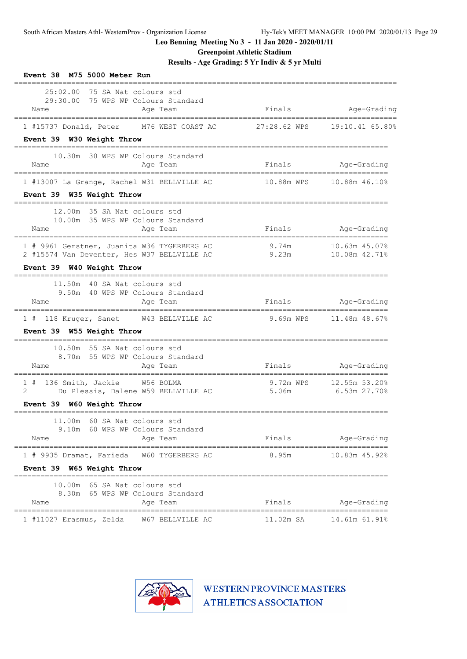**Greenpoint Athletic Stadium**

**Results - Age Grading: 5 Yr Indiv & 5 yr Multi**

| Event 38 M75 5000 Meter Run                                                                                                                         |                |                                         |
|-----------------------------------------------------------------------------------------------------------------------------------------------------|----------------|-----------------------------------------|
| 25:02.00 75 SA Nat colours std<br>29:30.00 75 WPS WP Colours Standard<br>Name<br>Age Team                                                           | Finals         | Age-Grading                             |
| 1 #15737 Donald, Peter M76 WEST COAST AC 27:28.62 WPS<br>Event 39 W30 Weight Throw                                                                  |                | 19:10.41 65.80%                         |
| $== == =$<br>------------------------------------<br>10.30m 30 WPS WP Colours Standard<br>Name<br>Age Team<br>===================================== | Finals         | Age-Grading                             |
| 1 #13007 La Grange, Rachel W31 BELLVILLE AC<br>Event 39 W35 Weight Throw                                                                            |                |                                         |
| 12.00m 35 SA Nat colours std<br>10.00m 35 WPS WP Colours Standard<br>Name<br>Age Team                                                               | Finals         | Age-Grading                             |
| 1 # 9961 Gerstner, Juanita W36 TYGERBERG AC<br>2 #15574 Van Deventer, Hes W37 BELLVILLE AC<br>Event 39 W40 Weight Throw                             | 9.74m<br>9.23m | 10.63m 45.07%<br>10.08m 42.71%          |
| 11.50m 40 SA Nat colours std<br>9.50m 40 WPS WP Colours Standard<br>Name<br>Age Team                                                                | Finals         | Age-Grading                             |
| 1 # 118 Kruger, Sanet W43 BELLVILLE AC<br>Event 39 W55 Weight Throw                                                                                 |                | 9.69m WPS 11.48m 48.67%                 |
| 10.50m 55 SA Nat colours std<br>8.70m 55 WPS WP Colours Standard<br>Name<br>Age Team                                                                |                | Finals Age-Grading                      |
| 1 # 136 Smith, Jackie W56 BOLMA<br>Du Plessis, Dalene W59 BELLVILLE AC<br>2<br>Event 39 W60 Weight Throw                                            | 5.06m          | 9.72m WPS 12.55m 53.20%<br>6.53m 27.70% |
| 11.00m 60 SA Nat colours std<br>9.10m 60 WPS WP Colours Standard<br>Name<br>Age Team                                                                | Finals         | Age-Grading                             |
| 1 # 9935 Dramat, Farieda<br>W60 TYGERBERG AC<br>Event 39 W65 Weight Throw                                                                           | 8.95m          | 10.83m 45.92%                           |
| 10.00m<br>65 SA Nat colours std<br>8.30m 65 WPS WP Colours Standard<br>Name<br>Age Team                                                             | Finals         | Age-Grading                             |
| =====================================<br>W67 BELLVILLE AC<br>1 #11027 Erasmus, Zelda                                                                | 11.02m SA      | 14.61m 61.91%                           |